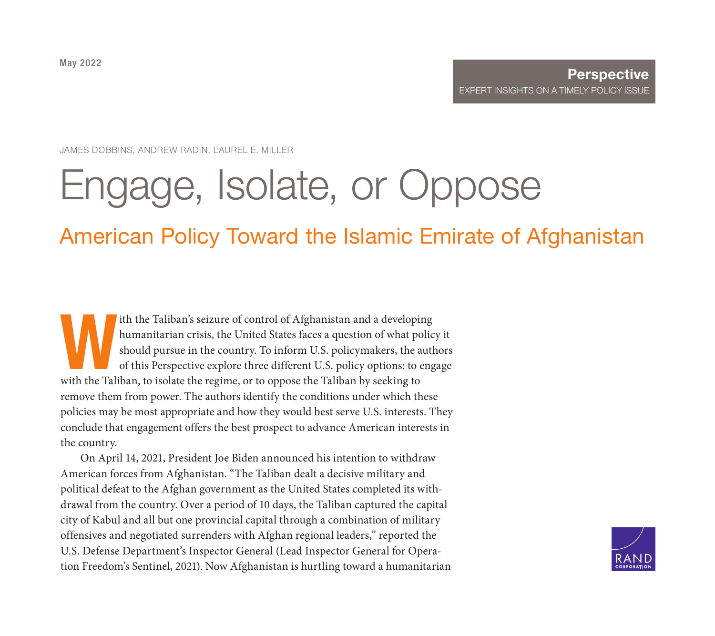JAMES DOBBINS, ANDREW RADIN, LAUREL E. MILLER

# [Engage, Isolate, or Oppose](https://www.rand.org/pubs/perspectives/PEA1540-1.html)

## American Policy Toward the Islamic Emirate of Afghanistan

th the Taliban's seizure of control of Afghanistan and a developing<br>humanitarian crisis, the United States faces a question of what polic<br>should pursue in the country. To inform U.S. policymakers, the auth<br>of this Perspect humanitarian crisis, the United States faces a question of what policy it should pursue in the country. To inform U.S. policymakers, the authors of this Perspective explore three different U.S. policy options: to engage with the Taliban, to isolate the regime, or to oppose the Taliban by seeking to remove them from power. The authors identify the conditions under which these policies may be most appropriate and how they would best serve U.S. interests. They conclude that engagement offers the best prospect to advance American interests in the country.

On April 14, 2021, President Joe Biden announced his intention to withdraw American forces from Afghanistan. "The Taliban dealt a decisive military and political defeat to the Afghan government as the United States completed its withdrawal from the country. Over a period of 10 days, the Taliban captured the capital city of Kabul and all but one provincial capital through a combination of military offensives and negotiated surrenders with Afghan regional leaders," reported the U.S. Defense Department's Inspector General (Lead Inspector General for Operation Freedom's Sentinel, 2021). Now Afghanistan is hurtling toward a humanitarian

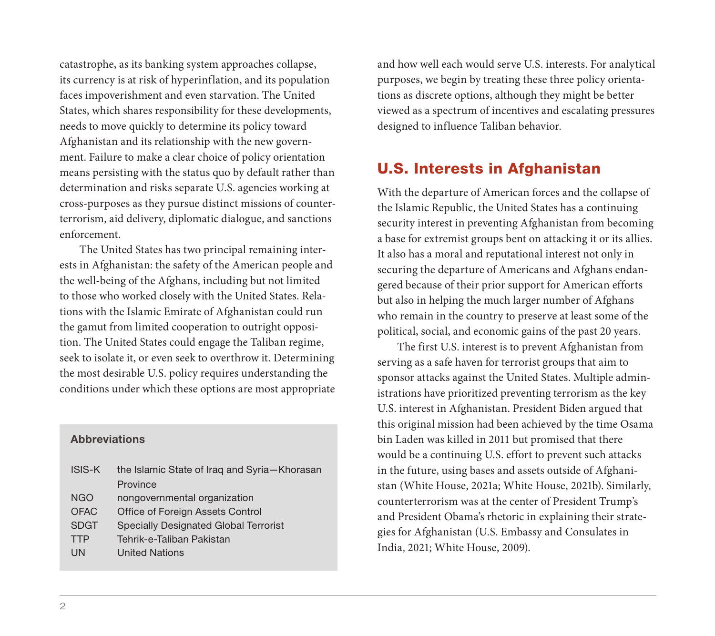catastrophe, as its banking system approaches collapse, its currency is at risk of hyperinflation, and its population faces impoverishment and even starvation. The United States, which shares responsibility for these developments, needs to move quickly to determine its policy toward Afghanistan and its relationship with the new government. Failure to make a clear choice of policy orientation means persisting with the status quo by default rather than determination and risks separate U.S. agencies working at cross-purposes as they pursue distinct missions of counterterrorism, aid delivery, diplomatic dialogue, and sanctions enforcement.

The United States has two principal remaining interests in Afghanistan: the safety of the American people and the well-being of the Afghans, including but not limited to those who worked closely with the United States. Relations with the Islamic Emirate of Afghanistan could run the gamut from limited cooperation to outright opposition. The United States could engage the Taliban regime, seek to isolate it, or even seek to overthrow it. Determining the most desirable U.S. policy requires understanding the conditions under which these options are most appropriate

#### **Abbreviations**

| <b>ISIS-K</b> | the Islamic State of Iraq and Syria-Khorasan |  |  |
|---------------|----------------------------------------------|--|--|
|               | Province                                     |  |  |
| <b>NGO</b>    | nongovernmental organization                 |  |  |
| <b>OFAC</b>   | Office of Foreign Assets Control             |  |  |
| <b>SDGT</b>   | <b>Specially Designated Global Terrorist</b> |  |  |
| <b>TTP</b>    | Tehrik-e-Taliban Pakistan                    |  |  |
| UN            | <b>United Nations</b>                        |  |  |

and how well each would serve U.S. interests. For analytical purposes, we begin by treating these three policy orientations as discrete options, although they might be better viewed as a spectrum of incentives and escalating pressures designed to influence Taliban behavior.

## U.S. Interests in Afghanistan

With the departure of American forces and the collapse of the Islamic Republic, the United States has a continuing security interest in preventing Afghanistan from becoming a base for extremist groups bent on attacking it or its allies. It also has a moral and reputational interest not only in securing the departure of Americans and Afghans endangered because of their prior support for American efforts but also in helping the much larger number of Afghans who remain in the country to preserve at least some of the political, social, and economic gains of the past 20 years.

The first U.S. interest is to prevent Afghanistan from serving as a safe haven for terrorist groups that aim to sponsor attacks against the United States. Multiple administrations have prioritized preventing terrorism as the key U.S. interest in Afghanistan. President Biden argued that this original mission had been achieved by the time Osama bin Laden was killed in 2011 but promised that there would be a continuing U.S. effort to prevent such attacks in the future, using bases and assets outside of Afghanistan (White House, 2021a; White House, 2021b). Similarly, counterterrorism was at the center of President Trump's and President Obama's rhetoric in explaining their strategies for Afghanistan (U.S. Embassy and Consulates in India, 2021; White House, 2009).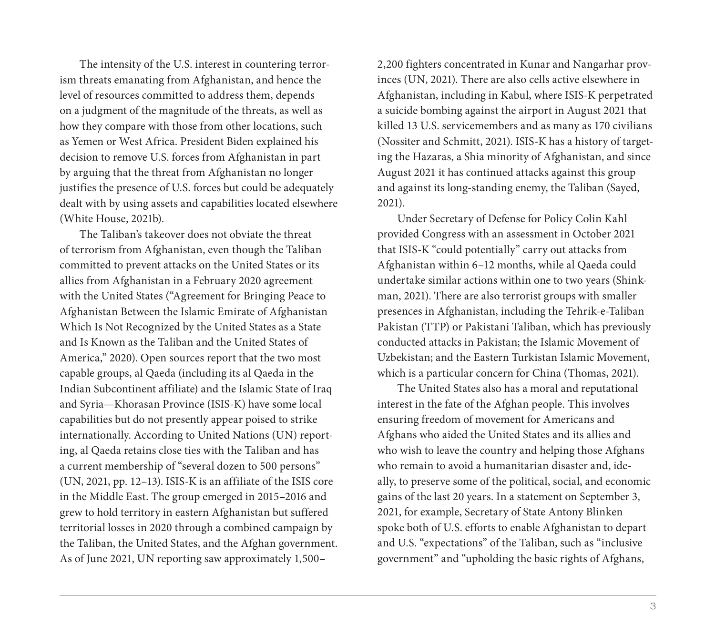The intensity of the U.S. interest in countering terrorism threats emanating from Afghanistan, and hence the level of resources committed to address them, depends on a judgment of the magnitude of the threats, as well as how they compare with those from other locations, such as Yemen or West Africa. President Biden explained his decision to remove U.S. forces from Afghanistan in part by arguing that the threat from Afghanistan no longer justifies the presence of U.S. forces but could be adequately dealt with by using assets and capabilities located elsewhere (White House, 2021b).

The Taliban's takeover does not obviate the threat of terrorism from Afghanistan, even though the Taliban committed to prevent attacks on the United States or its allies from Afghanistan in a February 2020 agreement with the United States ("Agreement for Bringing Peace to Afghanistan Between the Islamic Emirate of Afghanistan Which Is Not Recognized by the United States as a State and Is Known as the Taliban and the United States of America," 2020). Open sources report that the two most capable groups, al Qaeda (including its al Qaeda in the Indian Subcontinent affiliate) and the Islamic State of Iraq and Syria—Khorasan Province (ISIS-K) have some local capabilities but do not presently appear poised to strike internationally. According to United Nations (UN) reporting, al Qaeda retains close ties with the Taliban and has a current membership of "several dozen to 500 persons" (UN, 2021, pp. 12–13). ISIS-K is an affiliate of the ISIS core in the Middle East. The group emerged in 2015–2016 and grew to hold territory in eastern Afghanistan but suffered territorial losses in 2020 through a combined campaign by the Taliban, the United States, and the Afghan government. As of June 2021, UN reporting saw approximately 1,500–

2,200 fighters concentrated in Kunar and Nangarhar provinces (UN, 2021). There are also cells active elsewhere in Afghanistan, including in Kabul, where ISIS-K perpetrated a suicide bombing against the airport in August 2021 that killed 13 U.S. servicemembers and as many as 170 civilians (Nossiter and Schmitt, 2021). ISIS-K has a history of targeting the Hazaras, a Shia minority of Afghanistan, and since August 2021 it has continued attacks against this group and against its long-standing enemy, the Taliban (Sayed, 2021).

Under Secretary of Defense for Policy Colin Kahl provided Congress with an assessment in October 2021 that ISIS-K "could potentially" carry out attacks from Afghanistan within 6–12 months, while al Qaeda could undertake similar actions within one to two years (Shinkman, 2021). There are also terrorist groups with smaller presences in Afghanistan, including the Tehrik-e-Taliban Pakistan (TTP) or Pakistani Taliban, which has previously conducted attacks in Pakistan; the Islamic Movement of Uzbekistan; and the Eastern Turkistan Islamic Movement, which is a particular concern for China (Thomas, 2021).

The United States also has a moral and reputational interest in the fate of the Afghan people. This involves ensuring freedom of movement for Americans and Afghans who aided the United States and its allies and who wish to leave the country and helping those Afghans who remain to avoid a humanitarian disaster and, ideally, to preserve some of the political, social, and economic gains of the last 20 years. In a statement on September 3, 2021, for example, Secretary of State Antony Blinken spoke both of U.S. efforts to enable Afghanistan to depart and U.S. "expectations" of the Taliban, such as "inclusive government" and "upholding the basic rights of Afghans,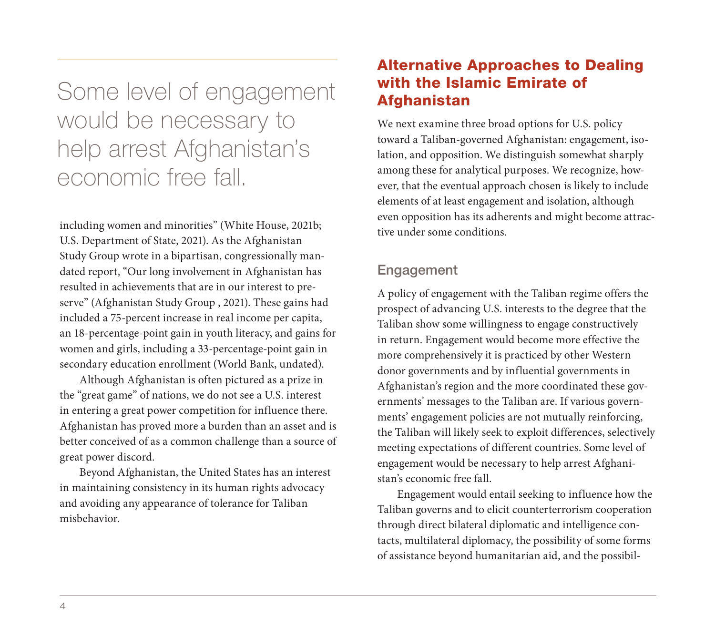Some level of engagement would be necessary to help arrest Afghanistan's economic free fall.

including women and minorities" (White House, 2021b; U.S. Department of State, 2021). As the Afghanistan Study Group wrote in a bipartisan, congressionally mandated report, "Our long involvement in Afghanistan has resulted in achievements that are in our interest to preserve" (Afghanistan Study Group , 2021). These gains had included a 75-percent increase in real income per capita, an 18-percentage-point gain in youth literacy, and gains for women and girls, including a 33-percentage-point gain in secondary education enrollment (World Bank, undated).

Although Afghanistan is often pictured as a prize in the "great game" of nations, we do not see a U.S. interest in entering a great power competition for influence there. Afghanistan has proved more a burden than an asset and is better conceived of as a common challenge than a source of great power discord.

Beyond Afghanistan, the United States has an interest in maintaining consistency in its human rights advocacy and avoiding any appearance of tolerance for Taliban misbehavior.

## Alternative Approaches to Dealing with the Islamic Emirate of Afghanistan

We next examine three broad options for U.S. policy toward a Taliban-governed Afghanistan: engagement, isolation, and opposition. We distinguish somewhat sharply among these for analytical purposes. We recognize, however, that the eventual approach chosen is likely to include elements of at least engagement and isolation, although even opposition has its adherents and might become attractive under some conditions.

## Engagement

A policy of engagement with the Taliban regime offers the prospect of advancing U.S. interests to the degree that the Taliban show some willingness to engage constructively in return. Engagement would become more effective the more comprehensively it is practiced by other Western donor governments and by influential governments in Afghanistan's region and the more coordinated these governments' messages to the Taliban are. If various governments' engagement policies are not mutually reinforcing, the Taliban will likely seek to exploit differences, selectively meeting expectations of different countries. Some level of engagement would be necessary to help arrest Afghanistan's economic free fall.

Engagement would entail seeking to influence how the Taliban governs and to elicit counterterrorism cooperation through direct bilateral diplomatic and intelligence contacts, multilateral diplomacy, the possibility of some forms of assistance beyond humanitarian aid, and the possibil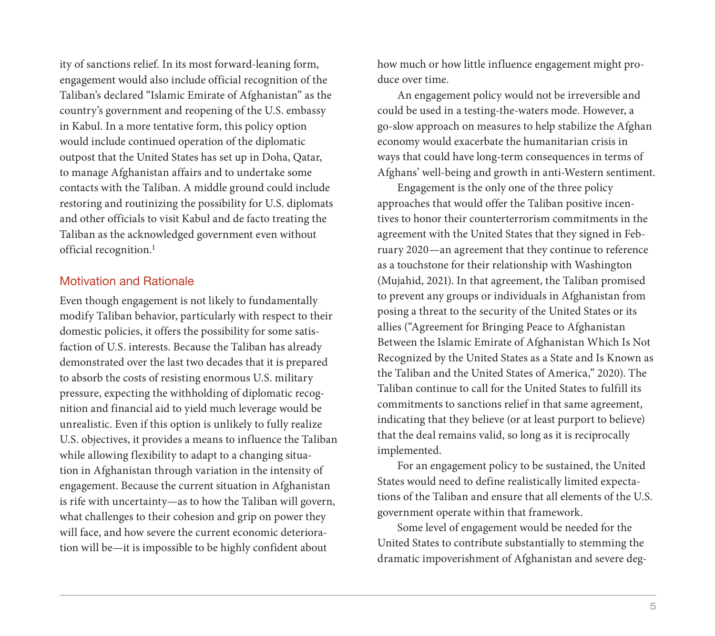ity of sanctions relief. In its most forward-leaning form, engagement would also include official recognition of the Taliban's declared "Islamic Emirate of Afghanistan" as the country's government and reopening of the U.S. embassy in Kabul. In a more tentative form, this policy option would include continued operation of the diplomatic outpost that the United States has set up in Doha, Qatar, to manage Afghanistan affairs and to undertake some contacts with the Taliban. A middle ground could include restoring and routinizing the possibility for U.S. diplomats and other officials to visit Kabul and de facto treating the Taliban as the acknowledged government even without official recognition.<sup>1</sup>

## Motivation and Rationale

Even though engagement is not likely to fundamentally modify Taliban behavior, particularly with respect to their domestic policies, it offers the possibility for some satisfaction of U.S. interests. Because the Taliban has already demonstrated over the last two decades that it is prepared to absorb the costs of resisting enormous U.S. military pressure, expecting the withholding of diplomatic recognition and financial aid to yield much leverage would be unrealistic. Even if this option is unlikely to fully realize U.S. objectives, it provides a means to influence the Taliban while allowing flexibility to adapt to a changing situation in Afghanistan through variation in the intensity of engagement. Because the current situation in Afghanistan is rife with uncertainty—as to how the Taliban will govern, what challenges to their cohesion and grip on power they will face, and how severe the current economic deterioration will be—it is impossible to be highly confident about

how much or how little influence engagement might produce over time.

An engagement policy would not be irreversible and could be used in a testing-the-waters mode. However, a go-slow approach on measures to help stabilize the Afghan economy would exacerbate the humanitarian crisis in ways that could have long-term consequences in terms of Afghans' well-being and growth in anti-Western sentiment.

Engagement is the only one of the three policy approaches that would offer the Taliban positive incentives to honor their counterterrorism commitments in the agreement with the United States that they signed in February 2020—an agreement that they continue to reference as a touchstone for their relationship with Washington (Mujahid, 2021). In that agreement, the Taliban promised to prevent any groups or individuals in Afghanistan from posing a threat to the security of the United States or its allies ("Agreement for Bringing Peace to Afghanistan Between the Islamic Emirate of Afghanistan Which Is Not Recognized by the United States as a State and Is Known as the Taliban and the United States of America," 2020). The Taliban continue to call for the United States to fulfill its commitments to sanctions relief in that same agreement, indicating that they believe (or at least purport to believe) that the deal remains valid, so long as it is reciprocally implemented.

For an engagement policy to be sustained, the United States would need to define realistically limited expectations of the Taliban and ensure that all elements of the U.S. government operate within that framework.

Some level of engagement would be needed for the United States to contribute substantially to stemming the dramatic impoverishment of Afghanistan and severe deg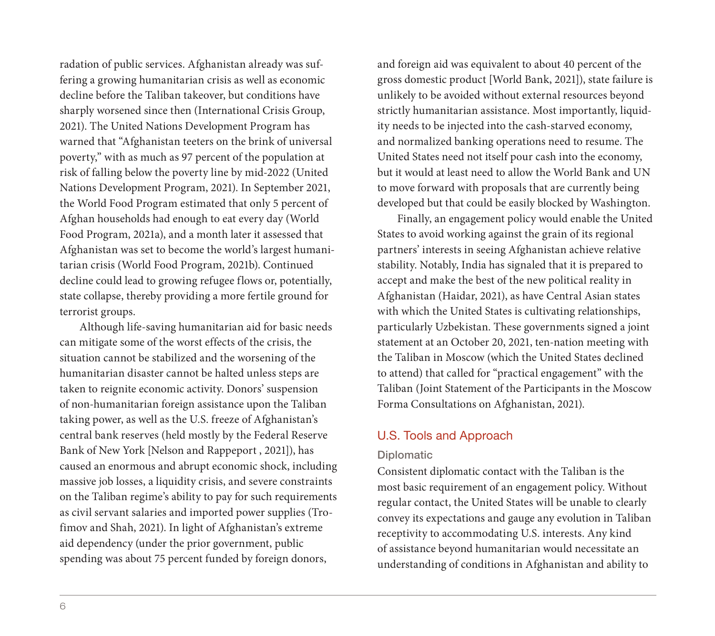radation of public services. Afghanistan already was suffering a growing humanitarian crisis as well as economic decline before the Taliban takeover, but conditions have sharply worsened since then (International Crisis Group, 2021). The United Nations Development Program has warned that "Afghanistan teeters on the brink of universal poverty," with as much as 97 percent of the population at risk of falling below the poverty line by mid-2022 (United Nations Development Program, 2021). In September 2021, the World Food Program estimated that only 5 percent of Afghan households had enough to eat every day (World Food Program, 2021a), and a month later it assessed that Afghanistan was set to become the world's largest humanitarian crisis (World Food Program, 2021b). Continued decline could lead to growing refugee flows or, potentially, state collapse, thereby providing a more fertile ground for terrorist groups.

Although life-saving humanitarian aid for basic needs can mitigate some of the worst effects of the crisis, the situation cannot be stabilized and the worsening of the humanitarian disaster cannot be halted unless steps are taken to reignite economic activity. Donors' suspension of non-humanitarian foreign assistance upon the Taliban taking power, as well as the U.S. freeze of Afghanistan's central bank reserves (held mostly by the Federal Reserve Bank of New York [Nelson and Rappeport , 2021]), has caused an enormous and abrupt economic shock, including massive job losses, a liquidity crisis, and severe constraints on the Taliban regime's ability to pay for such requirements as civil servant salaries and imported power supplies (Trofimov and Shah, 2021). In light of Afghanistan's extreme aid dependency (under the prior government, public spending was about 75 percent funded by foreign donors,

and foreign aid was equivalent to about 40 percent of the gross domestic product [World Bank, 2021]), state failure is unlikely to be avoided without external resources beyond strictly humanitarian assistance. Most importantly, liquidity needs to be injected into the cash-starved economy, and normalized banking operations need to resume. The United States need not itself pour cash into the economy, but it would at least need to allow the World Bank and UN to move forward with proposals that are currently being developed but that could be easily blocked by Washington.

Finally, an engagement policy would enable the United States to avoid working against the grain of its regional partners' interests in seeing Afghanistan achieve relative stability. Notably, India has signaled that it is prepared to accept and make the best of the new political reality in Afghanistan (Haidar, 2021), as have Central Asian states with which the United States is cultivating relationships, particularly Uzbekistan. These governments signed a joint statement at an October 20, 2021, ten-nation meeting with the Taliban in Moscow (which the United States declined to attend) that called for "practical engagement" with the Taliban (Joint Statement of the Participants in the Moscow Forma Consultations on Afghanistan, 2021).

## U.S. Tools and Approach

## Diplomatic

Consistent diplomatic contact with the Taliban is the most basic requirement of an engagement policy. Without regular contact, the United States will be unable to clearly convey its expectations and gauge any evolution in Taliban receptivity to accommodating U.S. interests. Any kind of assistance beyond humanitarian would necessitate an understanding of conditions in Afghanistan and ability to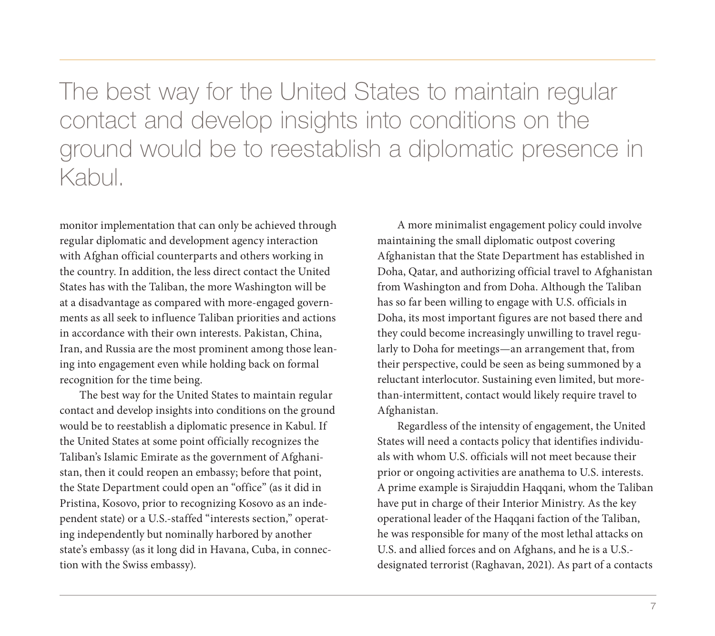The best way for the United States to maintain regular contact and develop insights into conditions on the ground would be to reestablish a diplomatic presence in Kabul.

monitor implementation that can only be achieved through regular diplomatic and development agency interaction with Afghan official counterparts and others working in the country. In addition, the less direct contact the United States has with the Taliban, the more Washington will be at a disadvantage as compared with more-engaged governments as all seek to influence Taliban priorities and actions in accordance with their own interests. Pakistan, China, Iran, and Russia are the most prominent among those leaning into engagement even while holding back on formal recognition for the time being.

The best way for the United States to maintain regular contact and develop insights into conditions on the ground would be to reestablish a diplomatic presence in Kabul. If the United States at some point officially recognizes the Taliban's Islamic Emirate as the government of Afghanistan, then it could reopen an embassy; before that point, the State Department could open an "office" (as it did in Pristina, Kosovo, prior to recognizing Kosovo as an independent state) or a U.S.-staffed "interests section," operating independently but nominally harbored by another state's embassy (as it long did in Havana, Cuba, in connection with the Swiss embassy).

A more minimalist engagement policy could involve maintaining the small diplomatic outpost covering Afghanistan that the State Department has established in Doha, Qatar, and authorizing official travel to Afghanistan from Washington and from Doha. Although the Taliban has so far been willing to engage with U.S. officials in Doha, its most important figures are not based there and they could become increasingly unwilling to travel regularly to Doha for meetings—an arrangement that, from their perspective, could be seen as being summoned by a reluctant interlocutor. Sustaining even limited, but morethan-intermittent, contact would likely require travel to Afghanistan.

Regardless of the intensity of engagement, the United States will need a contacts policy that identifies individuals with whom U.S. officials will not meet because their prior or ongoing activities are anathema to U.S. interests. A prime example is Sirajuddin Haqqani, whom the Taliban have put in charge of their Interior Ministry. As the key operational leader of the Haqqani faction of the Taliban, he was responsible for many of the most lethal attacks on U.S. and allied forces and on Afghans, and he is a U.S. designated terrorist (Raghavan, 2021). As part of a contacts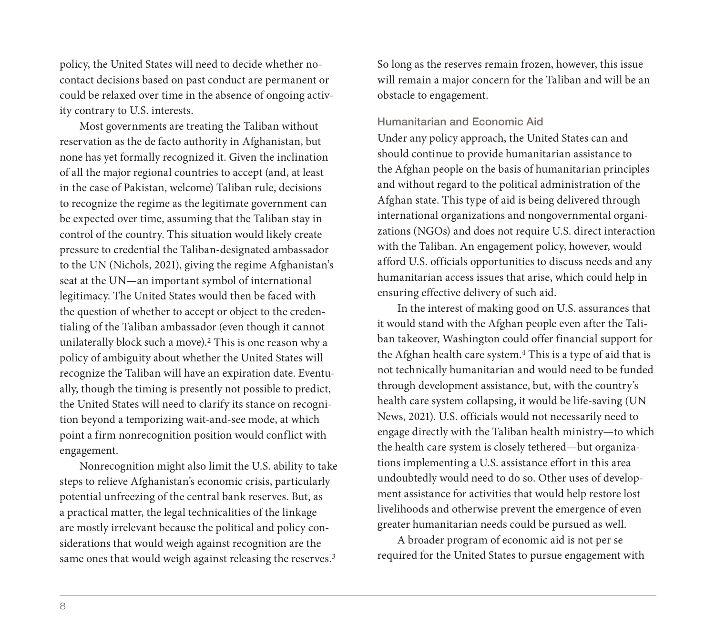policy, the United States will need to decide whether nocontact decisions based on past conduct are permanent or could be relaxed over time in the absence of ongoing activity contrary to U.S. interests.

Most governments are treating the Taliban without reservation as the de facto authority in Afghanistan, but none has yet formally recognized it. Given the inclination of all the major regional countries to accept (and, at least in the case of Pakistan, welcome) Taliban rule, decisions to recognize the regime as the legitimate government can be expected over time, assuming that the Taliban stay in control of the country. This situation would likely create pressure to credential the Taliban-designated ambassador to the UN (Nichols, 2021), giving the regime Afghanistan's seat at the UN—an important symbol of international legitimacy. The United States would then be faced with the question of whether to accept or object to the credentialing of the Taliban ambassador (even though it cannot unilaterally block such a move).2 This is one reason why a policy of ambiguity about whether the United States will recognize the Taliban will have an expiration date. Eventually, though the timing is presently not possible to predict, the United States will need to clarify its stance on recognition beyond a temporizing wait-and-see mode, at which point a firm nonrecognition position would conflict with engagement.

Nonrecognition might also limit the U.S. ability to take steps to relieve Afghanistan's economic crisis, particularly potential unfreezing of the central bank reserves. But, as a practical matter, the legal technicalities of the linkage are mostly irrelevant because the political and policy considerations that would weigh against recognition are the same ones that would weigh against releasing the reserves.<sup>3</sup>

So long as the reserves remain frozen, however, this issue will remain a major concern for the Taliban and will be an obstacle to engagement.

#### Humanitarian and Economic Aid

Under any policy approach, the United States can and should continue to provide humanitarian assistance to the Afghan people on the basis of humanitarian principles and without regard to the political administration of the Afghan state. This type of aid is being delivered through international organizations and nongovernmental organizations (NGOs) and does not require U.S. direct interaction with the Taliban. An engagement policy, however, would afford U.S. officials opportunities to discuss needs and any humanitarian access issues that arise, which could help in ensuring effective delivery of such aid.

In the interest of making good on U.S. assurances that it would stand with the Afghan people even after the Taliban takeover, Washington could offer financial support for the Afghan health care system.<sup>4</sup> This is a type of aid that is not technically humanitarian and would need to be funded through development assistance, but, with the country's health care system collapsing, it would be life-saving (UN News, 2021). U.S. officials would not necessarily need to engage directly with the Taliban health ministry—to which the health care system is closely tethered—but organizations implementing a U.S. assistance effort in this area undoubtedly would need to do so. Other uses of development assistance for activities that would help restore lost livelihoods and otherwise prevent the emergence of even greater humanitarian needs could be pursued as well.

A broader program of economic aid is not per se required for the United States to pursue engagement with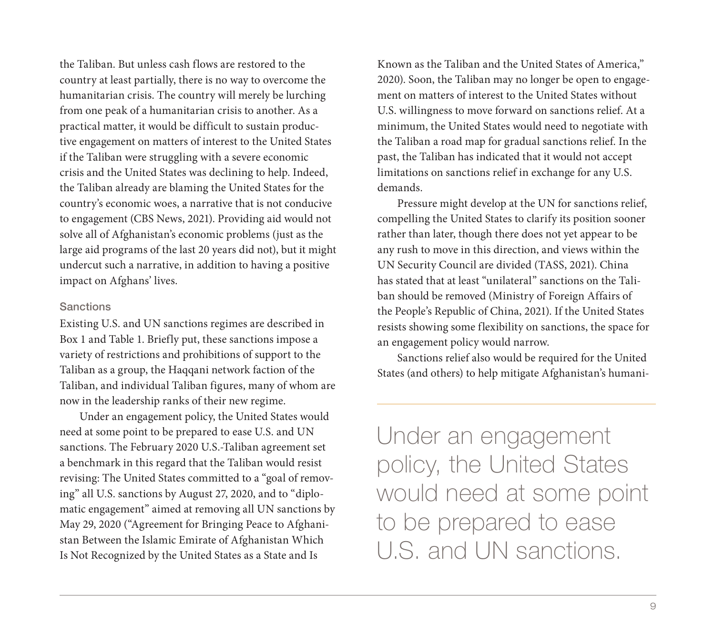the Taliban. But unless cash flows are restored to the country at least partially, there is no way to overcome the humanitarian crisis. The country will merely be lurching from one peak of a humanitarian crisis to another. As a practical matter, it would be difficult to sustain productive engagement on matters of interest to the United States if the Taliban were struggling with a severe economic crisis and the United States was declining to help. Indeed, the Taliban already are blaming the United States for the country's economic woes, a narrative that is not conducive to engagement (CBS News, 2021). Providing aid would not solve all of Afghanistan's economic problems (just as the large aid programs of the last 20 years did not), but it might undercut such a narrative, in addition to having a positive impact on Afghans' lives.

#### **Sanctions**

Existing U.S. and UN sanctions regimes are described in Box 1 and Table 1. Briefly put, these sanctions impose a variety of restrictions and prohibitions of support to the Taliban as a group, the Haqqani network faction of the Taliban, and individual Taliban figures, many of whom are now in the leadership ranks of their new regime.

Under an engagement policy, the United States would need at some point to be prepared to ease U.S. and UN sanctions. The February 2020 U.S.-Taliban agreement set a benchmark in this regard that the Taliban would resist revising: The United States committed to a "goal of removing" all U.S. sanctions by August 27, 2020, and to "diplomatic engagement" aimed at removing all UN sanctions by May 29, 2020 ("Agreement for Bringing Peace to Afghanistan Between the Islamic Emirate of Afghanistan Which Is Not Recognized by the United States as a State and Is

Known as the Taliban and the United States of America," 2020). Soon, the Taliban may no longer be open to engagement on matters of interest to the United States without U.S. willingness to move forward on sanctions relief. At a minimum, the United States would need to negotiate with the Taliban a road map for gradual sanctions relief. In the past, the Taliban has indicated that it would not accept limitations on sanctions relief in exchange for any U.S. demands.

Pressure might develop at the UN for sanctions relief, compelling the United States to clarify its position sooner rather than later, though there does not yet appear to be any rush to move in this direction, and views within the UN Security Council are divided (TASS, 2021). China has stated that at least "unilateral" sanctions on the Taliban should be removed (Ministry of Foreign Affairs of the People's Republic of China, 2021). If the United States resists showing some flexibility on sanctions, the space for an engagement policy would narrow.

Sanctions relief also would be required for the United States (and others) to help mitigate Afghanistan's humani-

Under an engagement policy, the United States would need at some point to be prepared to ease U.S. and UN sanctions.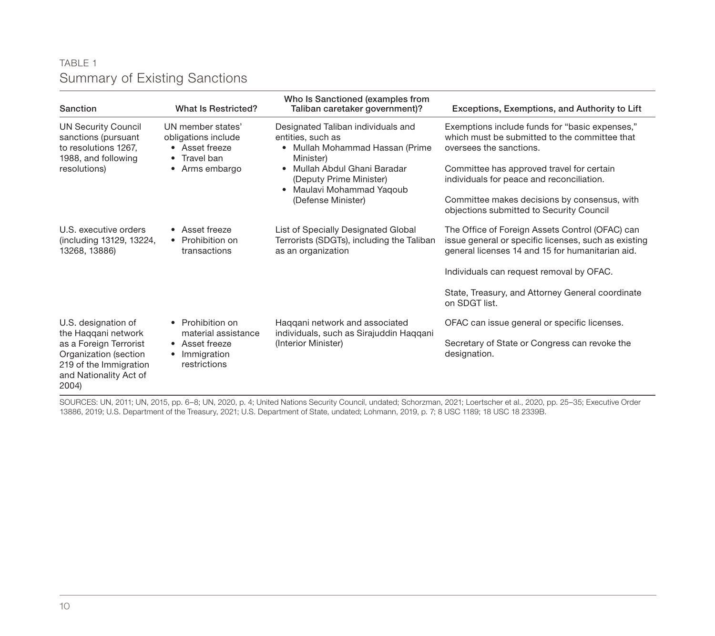## TABLE 1 Summary of Existing Sanctions

| Sanction                                                                                                                                                   | What Is Restricted?                                                                           | Who Is Sanctioned (examples from<br>Taliban caretaker government)?                                                                                                                                                                          | Exceptions, Exemptions, and Authority to Lift                                                                                                               |
|------------------------------------------------------------------------------------------------------------------------------------------------------------|-----------------------------------------------------------------------------------------------|---------------------------------------------------------------------------------------------------------------------------------------------------------------------------------------------------------------------------------------------|-------------------------------------------------------------------------------------------------------------------------------------------------------------|
| <b>UN Security Council</b><br>sanctions (pursuant<br>to resolutions 1267,<br>1988, and following<br>resolutions)                                           | UN member states'<br>obligations include<br>• Asset freeze<br>• Travel ban<br>• Arms embargo  | Designated Taliban individuals and<br>entities, such as<br>• Mullah Mohammad Hassan (Prime<br>Minister)<br>Mullah Abdul Ghani Baradar<br>$\bullet$<br>(Deputy Prime Minister)<br>Maulavi Mohammad Yagoub<br>$\bullet$<br>(Defense Minister) | Exemptions include funds for "basic expenses,"<br>which must be submitted to the committee that<br>oversees the sanctions.                                  |
|                                                                                                                                                            |                                                                                               |                                                                                                                                                                                                                                             | Committee has approved travel for certain<br>individuals for peace and reconciliation.                                                                      |
|                                                                                                                                                            |                                                                                               |                                                                                                                                                                                                                                             | Committee makes decisions by consensus, with<br>objections submitted to Security Council                                                                    |
| U.S. executive orders<br>(including 13129, 13224,<br>13268, 13886)                                                                                         | • Asset freeze<br>• Prohibition on<br>transactions                                            | List of Specially Designated Global<br>Terrorists (SDGTs), including the Taliban<br>as an organization                                                                                                                                      | The Office of Foreign Assets Control (OFAC) can<br>issue general or specific licenses, such as existing<br>general licenses 14 and 15 for humanitarian aid. |
|                                                                                                                                                            |                                                                                               |                                                                                                                                                                                                                                             | Individuals can request removal by OFAC.                                                                                                                    |
|                                                                                                                                                            |                                                                                               |                                                                                                                                                                                                                                             | State, Treasury, and Attorney General coordinate<br>on SDGT list.                                                                                           |
| U.S. designation of<br>the Haqqani network<br>as a Foreign Terrorist<br>Organization (section<br>219 of the Immigration<br>and Nationality Act of<br>2004) | • Prohibition on<br>material assistance<br>• Asset freeze<br>Immigration<br>٠<br>restrictions | Haggani network and associated<br>individuals, such as Sirajuddin Haqqani<br>(Interior Minister)                                                                                                                                            | OFAC can issue general or specific licenses.                                                                                                                |
|                                                                                                                                                            |                                                                                               |                                                                                                                                                                                                                                             | Secretary of State or Congress can revoke the<br>designation.                                                                                               |

SOURCES: UN, 2011; UN, 2015, pp. 6–8; UN, 2020, p. 4; United Nations Security Council, undated; Schorzman, 2021; Loertscher et al., 2020, pp. 25–35; Executive Order 13886, 2019; U.S. Department of the Treasury, 2021; U.S. Department of State, undated; Lohmann, 2019, p. 7; 8 USC 1189; 18 USC 18 2339B.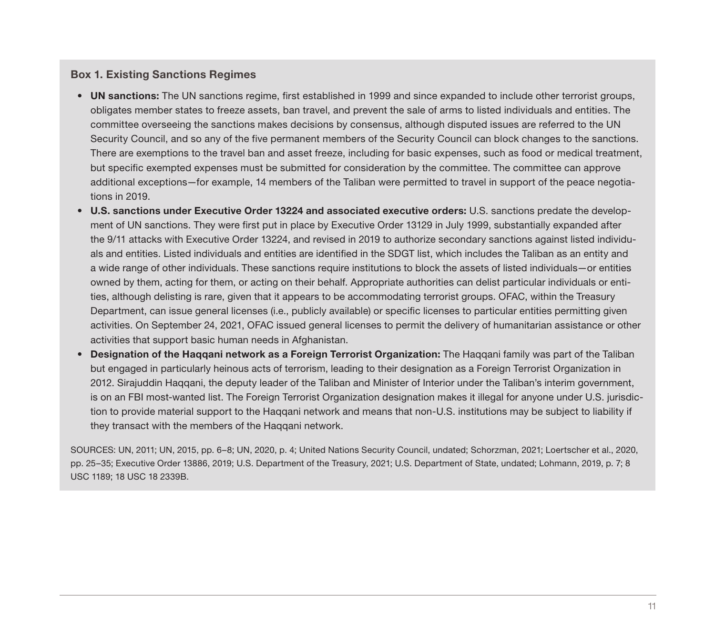#### Box 1. Existing Sanctions Regimes

- UN sanctions: The UN sanctions regime, first established in 1999 and since expanded to include other terrorist groups, obligates member states to freeze assets, ban travel, and prevent the sale of arms to listed individuals and entities. The committee overseeing the sanctions makes decisions by consensus, although disputed issues are referred to the UN Security Council, and so any of the five permanent members of the Security Council can block changes to the sanctions. There are exemptions to the travel ban and asset freeze, including for basic expenses, such as food or medical treatment, but specific exempted expenses must be submitted for consideration by the committee. The committee can approve additional exceptions—for example, 14 members of the Taliban were permitted to travel in support of the peace negotiations in 2019.
- U.S. sanctions under Executive Order 13224 and associated executive orders: U.S. sanctions predate the development of UN sanctions. They were first put in place by Executive Order 13129 in July 1999, substantially expanded after the 9/11 attacks with Executive Order 13224, and revised in 2019 to authorize secondary sanctions against listed individuals and entities. Listed individuals and entities are identified in the SDGT list, which includes the Taliban as an entity and a wide range of other individuals. These sanctions require institutions to block the assets of listed individuals—or entities owned by them, acting for them, or acting on their behalf. Appropriate authorities can delist particular individuals or entities, although delisting is rare, given that it appears to be accommodating terrorist groups. OFAC, within the Treasury Department, can issue general licenses (i.e., publicly available) or specific licenses to particular entities permitting given activities. On September 24, 2021, OFAC issued general licenses to permit the delivery of humanitarian assistance or other activities that support basic human needs in Afghanistan.
- Designation of the Haqqani network as a Foreign Terrorist Organization: The Haqqani family was part of the Taliban but engaged in particularly heinous acts of terrorism, leading to their designation as a Foreign Terrorist Organization in 2012. Sirajuddin Haqqani, the deputy leader of the Taliban and Minister of Interior under the Taliban's interim government, is on an FBI most-wanted list. The Foreign Terrorist Organization designation makes it illegal for anyone under U.S. jurisdiction to provide material support to the Haqqani network and means that non-U.S. institutions may be subject to liability if they transact with the members of the Haqqani network.

SOURCES: UN, 2011; UN, 2015, pp. 6–8; UN, 2020, p. 4; United Nations Security Council, undated; Schorzman, 2021; Loertscher et al., 2020, pp. 25–35; Executive Order 13886, 2019; U.S. Department of the Treasury, 2021; U.S. Department of State, undated; Lohmann, 2019, p. 7; 8 USC 1189; 18 USC 18 2339B.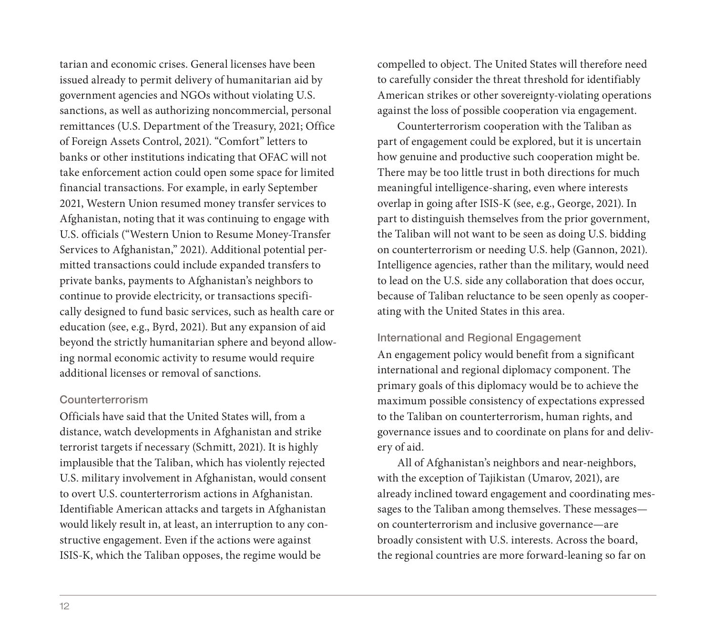tarian and economic crises. General licenses have been issued already to permit delivery of humanitarian aid by government agencies and NGOs without violating U.S. sanctions, as well as authorizing noncommercial, personal remittances (U.S. Department of the Treasury, 2021; Office of Foreign Assets Control, 2021). "Comfort" letters to banks or other institutions indicating that OFAC will not take enforcement action could open some space for limited financial transactions. For example, in early September 2021, Western Union resumed money transfer services to Afghanistan, noting that it was continuing to engage with U.S. officials ("Western Union to Resume Money-Transfer Services to Afghanistan," 2021). Additional potential permitted transactions could include expanded transfers to private banks, payments to Afghanistan's neighbors to continue to provide electricity, or transactions specifically designed to fund basic services, such as health care or education (see, e.g., Byrd, 2021). But any expansion of aid beyond the strictly humanitarian sphere and beyond allowing normal economic activity to resume would require additional licenses or removal of sanctions.

#### Counterterrorism

Officials have said that the United States will, from a distance, watch developments in Afghanistan and strike terrorist targets if necessary (Schmitt, 2021). It is highly implausible that the Taliban, which has violently rejected U.S. military involvement in Afghanistan, would consent to overt U.S. counterterrorism actions in Afghanistan. Identifiable American attacks and targets in Afghanistan would likely result in, at least, an interruption to any constructive engagement. Even if the actions were against ISIS-K, which the Taliban opposes, the regime would be

compelled to object. The United States will therefore need to carefully consider the threat threshold for identifiably American strikes or other sovereignty-violating operations against the loss of possible cooperation via engagement.

Counterterrorism cooperation with the Taliban as part of engagement could be explored, but it is uncertain how genuine and productive such cooperation might be. There may be too little trust in both directions for much meaningful intelligence-sharing, even where interests overlap in going after ISIS-K (see, e.g., George, 2021). In part to distinguish themselves from the prior government, the Taliban will not want to be seen as doing U.S. bidding on counterterrorism or needing U.S. help (Gannon, 2021). Intelligence agencies, rather than the military, would need to lead on the U.S. side any collaboration that does occur, because of Taliban reluctance to be seen openly as cooperating with the United States in this area.

#### International and Regional Engagement

An engagement policy would benefit from a significant international and regional diplomacy component. The primary goals of this diplomacy would be to achieve the maximum possible consistency of expectations expressed to the Taliban on counterterrorism, human rights, and governance issues and to coordinate on plans for and delivery of aid.

All of Afghanistan's neighbors and near-neighbors, with the exception of Tajikistan (Umarov, 2021), are already inclined toward engagement and coordinating messages to the Taliban among themselves. These messages on counterterrorism and inclusive governance—are broadly consistent with U.S. interests. Across the board, the regional countries are more forward-leaning so far on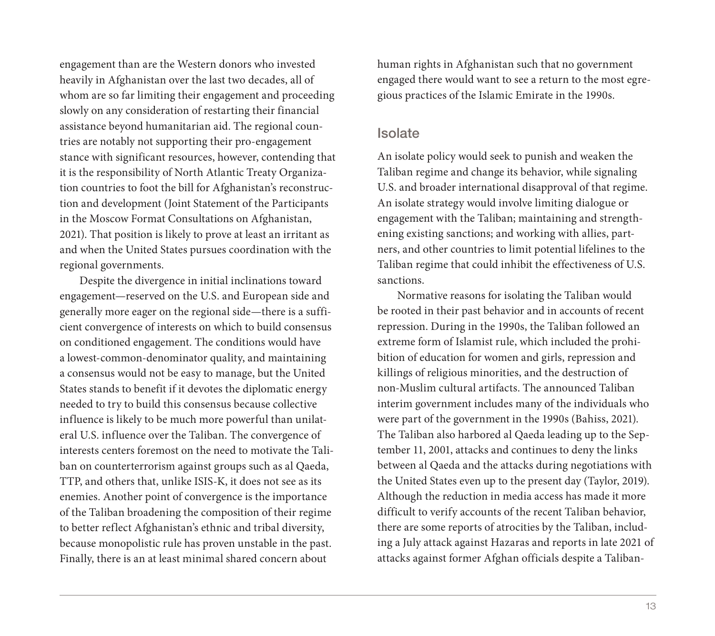engagement than are the Western donors who invested heavily in Afghanistan over the last two decades, all of whom are so far limiting their engagement and proceeding slowly on any consideration of restarting their financial assistance beyond humanitarian aid. The regional countries are notably not supporting their pro-engagement stance with significant resources, however, contending that it is the responsibility of North Atlantic Treaty Organization countries to foot the bill for Afghanistan's reconstruction and development (Joint Statement of the Participants in the Moscow Format Consultations on Afghanistan, 2021). That position is likely to prove at least an irritant as and when the United States pursues coordination with the regional governments.

Despite the divergence in initial inclinations toward engagement—reserved on the U.S. and European side and generally more eager on the regional side—there is a sufficient convergence of interests on which to build consensus on conditioned engagement. The conditions would have a lowest-common-denominator quality, and maintaining a consensus would not be easy to manage, but the United States stands to benefit if it devotes the diplomatic energy needed to try to build this consensus because collective influence is likely to be much more powerful than unilateral U.S. influence over the Taliban. The convergence of interests centers foremost on the need to motivate the Taliban on counterterrorism against groups such as al Qaeda, TTP, and others that, unlike ISIS-K, it does not see as its enemies. Another point of convergence is the importance of the Taliban broadening the composition of their regime to better reflect Afghanistan's ethnic and tribal diversity, because monopolistic rule has proven unstable in the past. Finally, there is an at least minimal shared concern about

human rights in Afghanistan such that no government engaged there would want to see a return to the most egregious practices of the Islamic Emirate in the 1990s.

## **Isolate**

An isolate policy would seek to punish and weaken the Taliban regime and change its behavior, while signaling U.S. and broader international disapproval of that regime. An isolate strategy would involve limiting dialogue or engagement with the Taliban; maintaining and strengthening existing sanctions; and working with allies, partners, and other countries to limit potential lifelines to the Taliban regime that could inhibit the effectiveness of U.S. sanctions.

Normative reasons for isolating the Taliban would be rooted in their past behavior and in accounts of recent repression. During in the 1990s, the Taliban followed an extreme form of Islamist rule, which included the prohibition of education for women and girls, repression and killings of religious minorities, and the destruction of non-Muslim cultural artifacts. The announced Taliban interim government includes many of the individuals who were part of the government in the 1990s (Bahiss, 2021). The Taliban also harbored al Qaeda leading up to the September 11, 2001, attacks and continues to deny the links between al Qaeda and the attacks during negotiations with the United States even up to the present day (Taylor, 2019). Although the reduction in media access has made it more difficult to verify accounts of the recent Taliban behavior, there are some reports of atrocities by the Taliban, including a July attack against Hazaras and reports in late 2021 of attacks against former Afghan officials despite a Taliban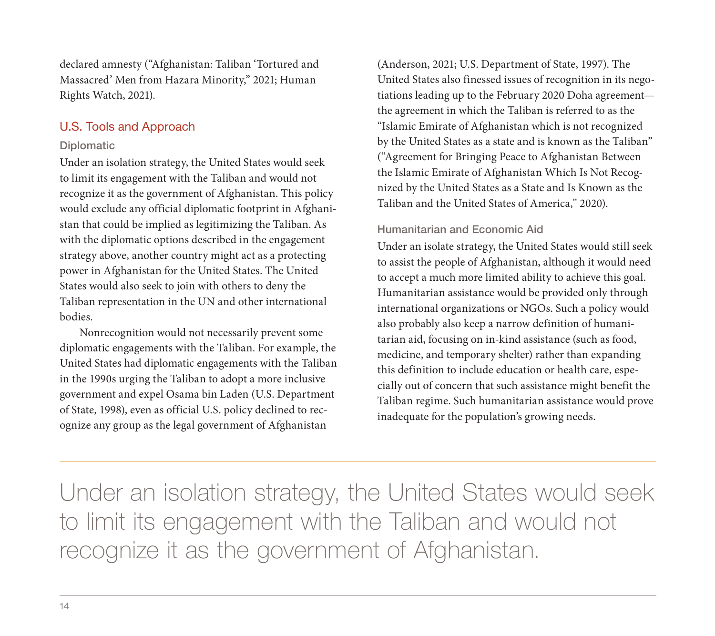declared amnesty ("Afghanistan: Taliban 'Tortured and Massacred' Men from Hazara Minority," 2021; Human Rights Watch, 2021).

## U.S. Tools and Approach

## Diplomatic

Under an isolation strategy, the United States would seek to limit its engagement with the Taliban and would not recognize it as the government of Afghanistan. This policy would exclude any official diplomatic footprint in Afghanistan that could be implied as legitimizing the Taliban. As with the diplomatic options described in the engagement strategy above, another country might act as a protecting power in Afghanistan for the United States. The United States would also seek to join with others to deny the Taliban representation in the UN and other international bodies.

Nonrecognition would not necessarily prevent some diplomatic engagements with the Taliban. For example, the United States had diplomatic engagements with the Taliban in the 1990s urging the Taliban to adopt a more inclusive government and expel Osama bin Laden (U.S. Department of State, 1998), even as official U.S. policy declined to recognize any group as the legal government of Afghanistan

(Anderson, 2021; U.S. Department of State, 1997). The United States also finessed issues of recognition in its negotiations leading up to the February 2020 Doha agreement the agreement in which the Taliban is referred to as the "Islamic Emirate of Afghanistan which is not recognized by the United States as a state and is known as the Taliban" ("Agreement for Bringing Peace to Afghanistan Between the Islamic Emirate of Afghanistan Which Is Not Recognized by the United States as a State and Is Known as the Taliban and the United States of America," 2020).

## Humanitarian and Economic Aid

Under an isolate strategy, the United States would still seek to assist the people of Afghanistan, although it would need to accept a much more limited ability to achieve this goal. Humanitarian assistance would be provided only through international organizations or NGOs. Such a policy would also probably also keep a narrow definition of humanitarian aid, focusing on in-kind assistance (such as food, medicine, and temporary shelter) rather than expanding this definition to include education or health care, especially out of concern that such assistance might benefit the Taliban regime. Such humanitarian assistance would prove inadequate for the population's growing needs.

Under an isolation strategy, the United States would seek to limit its engagement with the Taliban and would not recognize it as the government of Afghanistan.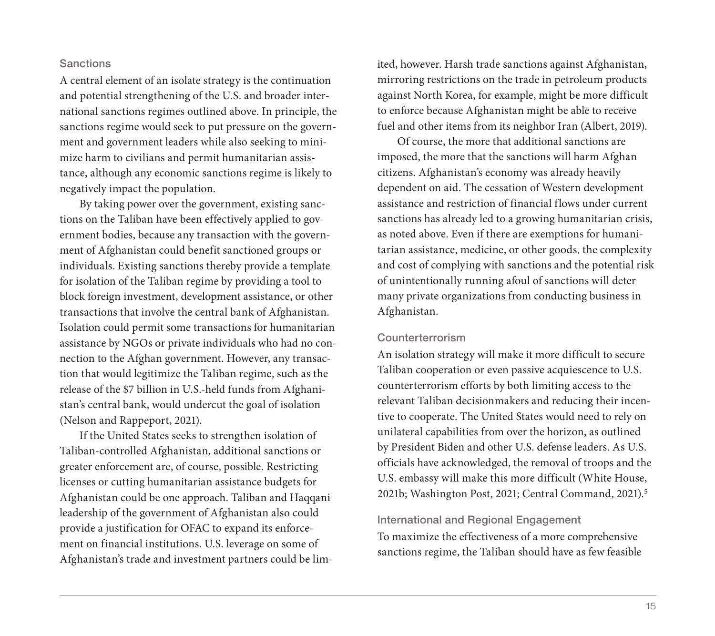#### **Sanctions**

A central element of an isolate strategy is the continuation and potential strengthening of the U.S. and broader international sanctions regimes outlined above. In principle, the sanctions regime would seek to put pressure on the government and government leaders while also seeking to minimize harm to civilians and permit humanitarian assistance, although any economic sanctions regime is likely to negatively impact the population.

By taking power over the government, existing sanctions on the Taliban have been effectively applied to government bodies, because any transaction with the government of Afghanistan could benefit sanctioned groups or individuals. Existing sanctions thereby provide a template for isolation of the Taliban regime by providing a tool to block foreign investment, development assistance, or other transactions that involve the central bank of Afghanistan. Isolation could permit some transactions for humanitarian assistance by NGOs or private individuals who had no connection to the Afghan government. However, any transaction that would legitimize the Taliban regime, such as the release of the \$7 billion in U.S.-held funds from Afghanistan's central bank, would undercut the goal of isolation (Nelson and Rappeport, 2021).

If the United States seeks to strengthen isolation of Taliban-controlled Afghanistan, additional sanctions or greater enforcement are, of course, possible. Restricting licenses or cutting humanitarian assistance budgets for Afghanistan could be one approach. Taliban and Haqqani leadership of the government of Afghanistan also could provide a justification for OFAC to expand its enforcement on financial institutions. U.S. leverage on some of Afghanistan's trade and investment partners could be limited, however. Harsh trade sanctions against Afghanistan, mirroring restrictions on the trade in petroleum products against North Korea, for example, might be more difficult to enforce because Afghanistan might be able to receive fuel and other items from its neighbor Iran (Albert, 2019).

Of course, the more that additional sanctions are imposed, the more that the sanctions will harm Afghan citizens. Afghanistan's economy was already heavily dependent on aid. The cessation of Western development assistance and restriction of financial flows under current sanctions has already led to a growing humanitarian crisis, as noted above. Even if there are exemptions for humanitarian assistance, medicine, or other goods, the complexity and cost of complying with sanctions and the potential risk of unintentionally running afoul of sanctions will deter many private organizations from conducting business in Afghanistan.

#### Counterterrorism

An isolation strategy will make it more difficult to secure Taliban cooperation or even passive acquiescence to U.S. counterterrorism efforts by both limiting access to the relevant Taliban decisionmakers and reducing their incentive to cooperate. The United States would need to rely on unilateral capabilities from over the horizon, as outlined by President Biden and other U.S. defense leaders. As U.S. officials have acknowledged, the removal of troops and the U.S. embassy will make this more difficult (White House, 2021b; Washington Post, 2021; Central Command, 2021).5

#### International and Regional Engagement

To maximize the effectiveness of a more comprehensive sanctions regime, the Taliban should have as few feasible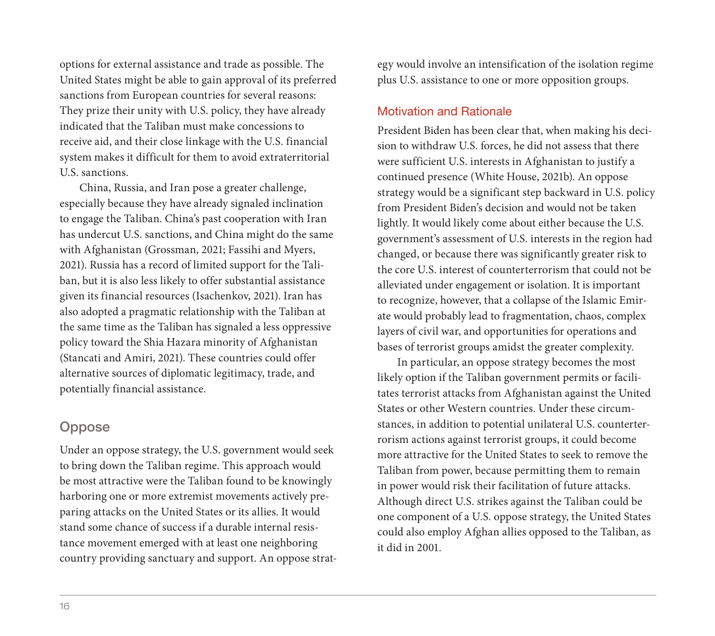options for external assistance and trade as possible. The United States might be able to gain approval of its preferred sanctions from European countries for several reasons: They prize their unity with U.S. policy, they have already indicated that the Taliban must make concessions to receive aid, and their close linkage with the U.S. financial system makes it difficult for them to avoid extraterritorial U.S. sanctions.

China, Russia, and Iran pose a greater challenge, especially because they have already signaled inclination to engage the Taliban. China's past cooperation with Iran has undercut U.S. sanctions, and China might do the same with Afghanistan (Grossman, 2021; Fassihi and Myers, 2021). Russia has a record of limited support for the Taliban, but it is also less likely to offer substantial assistance given its financial resources (Isachenkov, 2021). Iran has also adopted a pragmatic relationship with the Taliban at the same time as the Taliban has signaled a less oppressive policy toward the Shia Hazara minority of Afghanistan (Stancati and Amiri, 2021). These countries could offer alternative sources of diplomatic legitimacy, trade, and potentially financial assistance.

## **Oppose**

Under an oppose strategy, the U.S. government would seek to bring down the Taliban regime. This approach would be most attractive were the Taliban found to be knowingly harboring one or more extremist movements actively preparing attacks on the United States or its allies. It would stand some chance of success if a durable internal resistance movement emerged with at least one neighboring country providing sanctuary and support. An oppose strategy would involve an intensification of the isolation regime plus U.S. assistance to one or more opposition groups.

## Motivation and Rationale

President Biden has been clear that, when making his decision to withdraw U.S. forces, he did not assess that there were sufficient U.S. interests in Afghanistan to justify a continued presence (White House, 2021b). An oppose strategy would be a significant step backward in U.S. policy from President Biden's decision and would not be taken lightly. It would likely come about either because the U.S. government's assessment of U.S. interests in the region had changed, or because there was significantly greater risk to the core U.S. interest of counterterrorism that could not be alleviated under engagement or isolation. It is important to recognize, however, that a collapse of the Islamic Emirate would probably lead to fragmentation, chaos, complex layers of civil war, and opportunities for operations and bases of terrorist groups amidst the greater complexity.

In particular, an oppose strategy becomes the most likely option if the Taliban government permits or facilitates terrorist attacks from Afghanistan against the United States or other Western countries. Under these circumstances, in addition to potential unilateral U.S. counterterrorism actions against terrorist groups, it could become more attractive for the United States to seek to remove the Taliban from power, because permitting them to remain in power would risk their facilitation of future attacks. Although direct U.S. strikes against the Taliban could be one component of a U.S. oppose strategy, the United States could also employ Afghan allies opposed to the Taliban, as it did in 2001.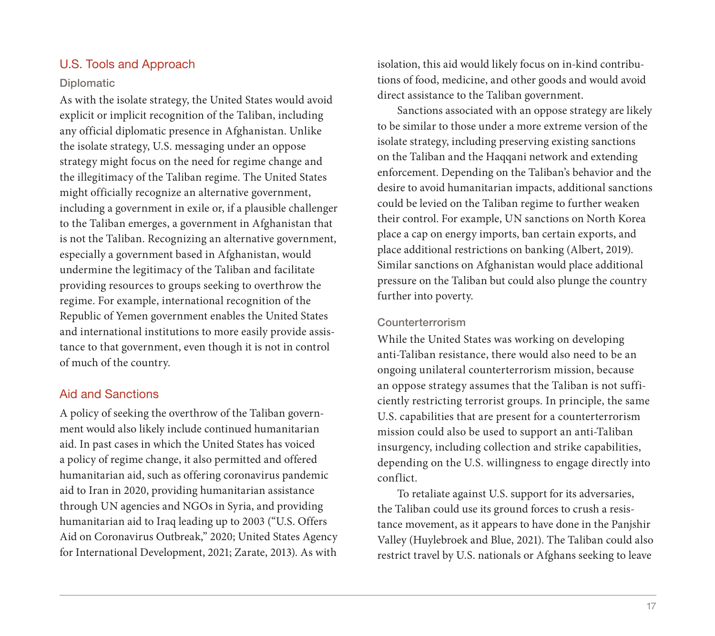## U.S. Tools and Approach

#### Diplomatic

As with the isolate strategy, the United States would avoid explicit or implicit recognition of the Taliban, including any official diplomatic presence in Afghanistan. Unlike the isolate strategy, U.S. messaging under an oppose strategy might focus on the need for regime change and the illegitimacy of the Taliban regime. The United States might officially recognize an alternative government, including a government in exile or, if a plausible challenger to the Taliban emerges, a government in Afghanistan that is not the Taliban. Recognizing an alternative government, especially a government based in Afghanistan, would undermine the legitimacy of the Taliban and facilitate providing resources to groups seeking to overthrow the regime. For example, international recognition of the Republic of Yemen government enables the United States and international institutions to more easily provide assistance to that government, even though it is not in control of much of the country.

## Aid and Sanctions

A policy of seeking the overthrow of the Taliban government would also likely include continued humanitarian aid. In past cases in which the United States has voiced a policy of regime change, it also permitted and offered humanitarian aid, such as offering coronavirus pandemic aid to Iran in 2020, providing humanitarian assistance through UN agencies and NGOs in Syria, and providing humanitarian aid to Iraq leading up to 2003 ("U.S. Offers Aid on Coronavirus Outbreak," 2020; United States Agency for International Development, 2021; Zarate, 2013). As with

isolation, this aid would likely focus on in-kind contributions of food, medicine, and other goods and would avoid direct assistance to the Taliban government.

Sanctions associated with an oppose strategy are likely to be similar to those under a more extreme version of the isolate strategy, including preserving existing sanctions on the Taliban and the Haqqani network and extending enforcement. Depending on the Taliban's behavior and the desire to avoid humanitarian impacts, additional sanctions could be levied on the Taliban regime to further weaken their control. For example, UN sanctions on North Korea place a cap on energy imports, ban certain exports, and place additional restrictions on banking (Albert, 2019). Similar sanctions on Afghanistan would place additional pressure on the Taliban but could also plunge the country further into poverty.

#### Counterterrorism

While the United States was working on developing anti-Taliban resistance, there would also need to be an ongoing unilateral counterterrorism mission, because an oppose strategy assumes that the Taliban is not sufficiently restricting terrorist groups. In principle, the same U.S. capabilities that are present for a counterterrorism mission could also be used to support an anti-Taliban insurgency, including collection and strike capabilities, depending on the U.S. willingness to engage directly into conflict.

To retaliate against U.S. support for its adversaries, the Taliban could use its ground forces to crush a resistance movement, as it appears to have done in the Panjshir Valley (Huylebroek and Blue, 2021). The Taliban could also restrict travel by U.S. nationals or Afghans seeking to leave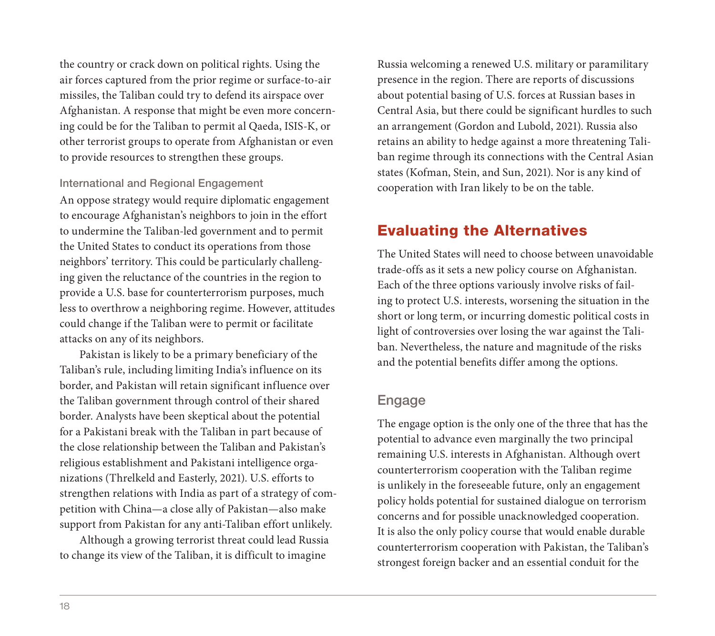the country or crack down on political rights. Using the air forces captured from the prior regime or surface-to-air missiles, the Taliban could try to defend its airspace over Afghanistan. A response that might be even more concerning could be for the Taliban to permit al Qaeda, ISIS-K, or other terrorist groups to operate from Afghanistan or even to provide resources to strengthen these groups.

International and Regional Engagement

An oppose strategy would require diplomatic engagement to encourage Afghanistan's neighbors to join in the effort to undermine the Taliban-led government and to permit the United States to conduct its operations from those neighbors' territory. This could be particularly challenging given the reluctance of the countries in the region to provide a U.S. base for counterterrorism purposes, much less to overthrow a neighboring regime. However, attitudes could change if the Taliban were to permit or facilitate attacks on any of its neighbors.

Pakistan is likely to be a primary beneficiary of the Taliban's rule, including limiting India's influence on its border, and Pakistan will retain significant influence over the Taliban government through control of their shared border. Analysts have been skeptical about the potential for a Pakistani break with the Taliban in part because of the close relationship between the Taliban and Pakistan's religious establishment and Pakistani intelligence organizations (Threlkeld and Easterly, 2021). U.S. efforts to strengthen relations with India as part of a strategy of competition with China—a close ally of Pakistan—also make support from Pakistan for any anti-Taliban effort unlikely.

Although a growing terrorist threat could lead Russia to change its view of the Taliban, it is difficult to imagine

Russia welcoming a renewed U.S. military or paramilitary presence in the region. There are reports of discussions about potential basing of U.S. forces at Russian bases in Central Asia, but there could be significant hurdles to such an arrangement (Gordon and Lubold, 2021). Russia also retains an ability to hedge against a more threatening Taliban regime through its connections with the Central Asian states (Kofman, Stein, and Sun, 2021). Nor is any kind of cooperation with Iran likely to be on the table.

## Evaluating the Alternatives

The United States will need to choose between unavoidable trade-offs as it sets a new policy course on Afghanistan. Each of the three options variously involve risks of failing to protect U.S. interests, worsening the situation in the short or long term, or incurring domestic political costs in light of controversies over losing the war against the Taliban. Nevertheless, the nature and magnitude of the risks and the potential benefits differ among the options.

## Engage

The engage option is the only one of the three that has the potential to advance even marginally the two principal remaining U.S. interests in Afghanistan. Although overt counterterrorism cooperation with the Taliban regime is unlikely in the foreseeable future, only an engagement policy holds potential for sustained dialogue on terrorism concerns and for possible unacknowledged cooperation. It is also the only policy course that would enable durable counterterrorism cooperation with Pakistan, the Taliban's strongest foreign backer and an essential conduit for the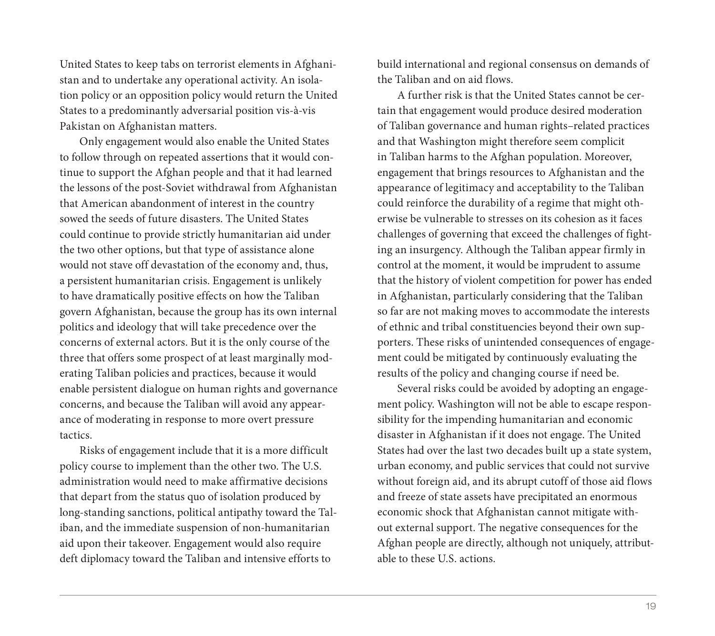United States to keep tabs on terrorist elements in Afghanistan and to undertake any operational activity. An isolation policy or an opposition policy would return the United States to a predominantly adversarial position vis-à-vis Pakistan on Afghanistan matters.

Only engagement would also enable the United States to follow through on repeated assertions that it would continue to support the Afghan people and that it had learned the lessons of the post-Soviet withdrawal from Afghanistan that American abandonment of interest in the country sowed the seeds of future disasters. The United States could continue to provide strictly humanitarian aid under the two other options, but that type of assistance alone would not stave off devastation of the economy and, thus, a persistent humanitarian crisis. Engagement is unlikely to have dramatically positive effects on how the Taliban govern Afghanistan, because the group has its own internal politics and ideology that will take precedence over the concerns of external actors. But it is the only course of the three that offers some prospect of at least marginally moderating Taliban policies and practices, because it would enable persistent dialogue on human rights and governance concerns, and because the Taliban will avoid any appearance of moderating in response to more overt pressure tactics.

Risks of engagement include that it is a more difficult policy course to implement than the other two. The U.S. administration would need to make affirmative decisions that depart from the status quo of isolation produced by long-standing sanctions, political antipathy toward the Taliban, and the immediate suspension of non-humanitarian aid upon their takeover. Engagement would also require deft diplomacy toward the Taliban and intensive efforts to

build international and regional consensus on demands of the Taliban and on aid flows.

A further risk is that the United States cannot be certain that engagement would produce desired moderation of Taliban governance and human rights–related practices and that Washington might therefore seem complicit in Taliban harms to the Afghan population. Moreover, engagement that brings resources to Afghanistan and the appearance of legitimacy and acceptability to the Taliban could reinforce the durability of a regime that might otherwise be vulnerable to stresses on its cohesion as it faces challenges of governing that exceed the challenges of fighting an insurgency. Although the Taliban appear firmly in control at the moment, it would be imprudent to assume that the history of violent competition for power has ended in Afghanistan, particularly considering that the Taliban so far are not making moves to accommodate the interests of ethnic and tribal constituencies beyond their own supporters. These risks of unintended consequences of engagement could be mitigated by continuously evaluating the results of the policy and changing course if need be.

Several risks could be avoided by adopting an engagement policy. Washington will not be able to escape responsibility for the impending humanitarian and economic disaster in Afghanistan if it does not engage. The United States had over the last two decades built up a state system, urban economy, and public services that could not survive without foreign aid, and its abrupt cutoff of those aid flows and freeze of state assets have precipitated an enormous economic shock that Afghanistan cannot mitigate without external support. The negative consequences for the Afghan people are directly, although not uniquely, attributable to these U.S. actions.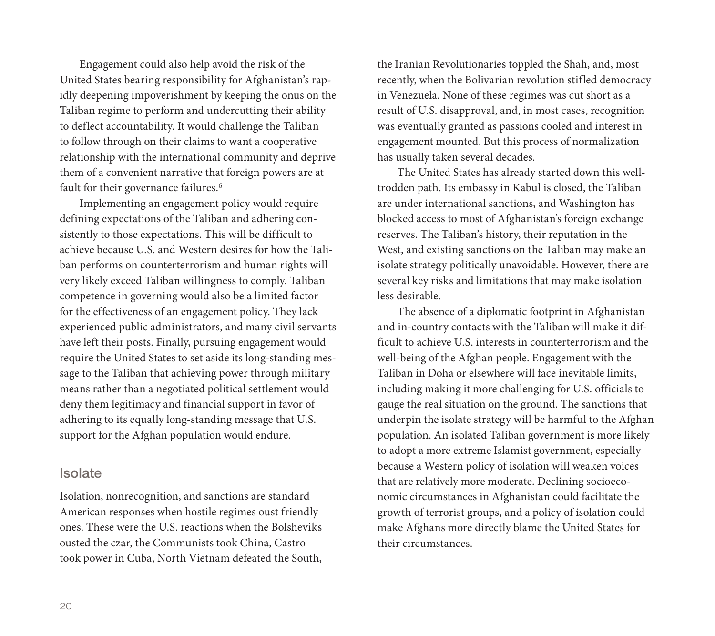Engagement could also help avoid the risk of the United States bearing responsibility for Afghanistan's rapidly deepening impoverishment by keeping the onus on the Taliban regime to perform and undercutting their ability to deflect accountability. It would challenge the Taliban to follow through on their claims to want a cooperative relationship with the international community and deprive them of a convenient narrative that foreign powers are at fault for their governance failures.<sup>6</sup>

Implementing an engagement policy would require defining expectations of the Taliban and adhering consistently to those expectations. This will be difficult to achieve because U.S. and Western desires for how the Taliban performs on counterterrorism and human rights will very likely exceed Taliban willingness to comply. Taliban competence in governing would also be a limited factor for the effectiveness of an engagement policy. They lack experienced public administrators, and many civil servants have left their posts. Finally, pursuing engagement would require the United States to set aside its long-standing message to the Taliban that achieving power through military means rather than a negotiated political settlement would deny them legitimacy and financial support in favor of adhering to its equally long-standing message that U.S. support for the Afghan population would endure.

## Isolate

Isolation, nonrecognition, and sanctions are standard American responses when hostile regimes oust friendly ones. These were the U.S. reactions when the Bolsheviks ousted the czar, the Communists took China, Castro took power in Cuba, North Vietnam defeated the South, the Iranian Revolutionaries toppled the Shah, and, most recently, when the Bolivarian revolution stifled democracy in Venezuela. None of these regimes was cut short as a result of U.S. disapproval, and, in most cases, recognition was eventually granted as passions cooled and interest in engagement mounted. But this process of normalization has usually taken several decades.

The United States has already started down this welltrodden path. Its embassy in Kabul is closed, the Taliban are under international sanctions, and Washington has blocked access to most of Afghanistan's foreign exchange reserves. The Taliban's history, their reputation in the West, and existing sanctions on the Taliban may make an isolate strategy politically unavoidable. However, there are several key risks and limitations that may make isolation less desirable.

The absence of a diplomatic footprint in Afghanistan and in-country contacts with the Taliban will make it difficult to achieve U.S. interests in counterterrorism and the well-being of the Afghan people. Engagement with the Taliban in Doha or elsewhere will face inevitable limits, including making it more challenging for U.S. officials to gauge the real situation on the ground. The sanctions that underpin the isolate strategy will be harmful to the Afghan population. An isolated Taliban government is more likely to adopt a more extreme Islamist government, especially because a Western policy of isolation will weaken voices that are relatively more moderate. Declining socioeconomic circumstances in Afghanistan could facilitate the growth of terrorist groups, and a policy of isolation could make Afghans more directly blame the United States for their circumstances.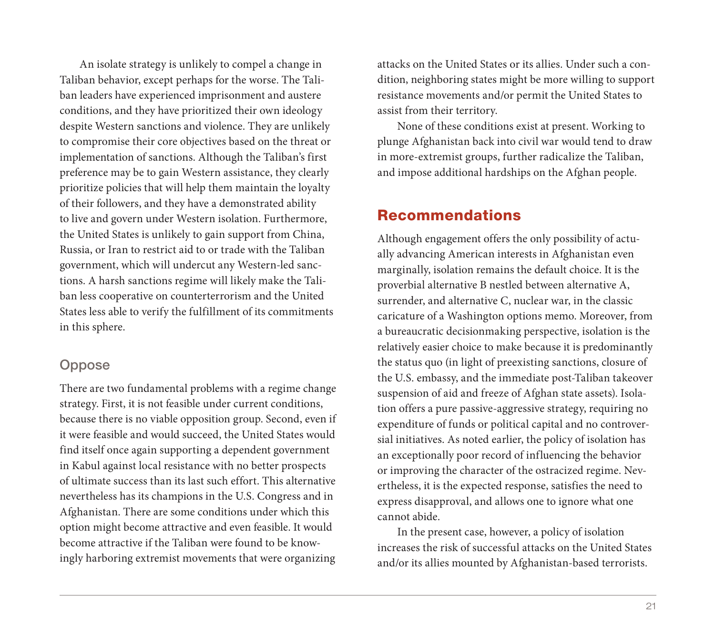An isolate strategy is unlikely to compel a change in Taliban behavior, except perhaps for the worse. The Taliban leaders have experienced imprisonment and austere conditions, and they have prioritized their own ideology despite Western sanctions and violence. They are unlikely to compromise their core objectives based on the threat or implementation of sanctions. Although the Taliban's first preference may be to gain Western assistance, they clearly prioritize policies that will help them maintain the loyalty of their followers, and they have a demonstrated ability to live and govern under Western isolation. Furthermore, the United States is unlikely to gain support from China, Russia, or Iran to restrict aid to or trade with the Taliban government, which will undercut any Western-led sanctions. A harsh sanctions regime will likely make the Taliban less cooperative on counterterrorism and the United States less able to verify the fulfillment of its commitments in this sphere.

## **Oppose**

There are two fundamental problems with a regime change strategy. First, it is not feasible under current conditions, because there is no viable opposition group. Second, even if it were feasible and would succeed, the United States would find itself once again supporting a dependent government in Kabul against local resistance with no better prospects of ultimate success than its last such effort. This alternative nevertheless has its champions in the U.S. Congress and in Afghanistan. There are some conditions under which this option might become attractive and even feasible. It would become attractive if the Taliban were found to be knowingly harboring extremist movements that were organizing

attacks on the United States or its allies. Under such a condition, neighboring states might be more willing to support resistance movements and/or permit the United States to assist from their territory.

None of these conditions exist at present. Working to plunge Afghanistan back into civil war would tend to draw in more-extremist groups, further radicalize the Taliban, and impose additional hardships on the Afghan people.

## Recommendations

Although engagement offers the only possibility of actually advancing American interests in Afghanistan even marginally, isolation remains the default choice. It is the proverbial alternative B nestled between alternative A, surrender, and alternative C, nuclear war, in the classic caricature of a Washington options memo. Moreover, from a bureaucratic decisionmaking perspective, isolation is the relatively easier choice to make because it is predominantly the status quo (in light of preexisting sanctions, closure of the U.S. embassy, and the immediate post-Taliban takeover suspension of aid and freeze of Afghan state assets). Isolation offers a pure passive-aggressive strategy, requiring no expenditure of funds or political capital and no controversial initiatives. As noted earlier, the policy of isolation has an exceptionally poor record of influencing the behavior or improving the character of the ostracized regime. Nevertheless, it is the expected response, satisfies the need to express disapproval, and allows one to ignore what one cannot abide.

In the present case, however, a policy of isolation increases the risk of successful attacks on the United States and/or its allies mounted by Afghanistan-based terrorists.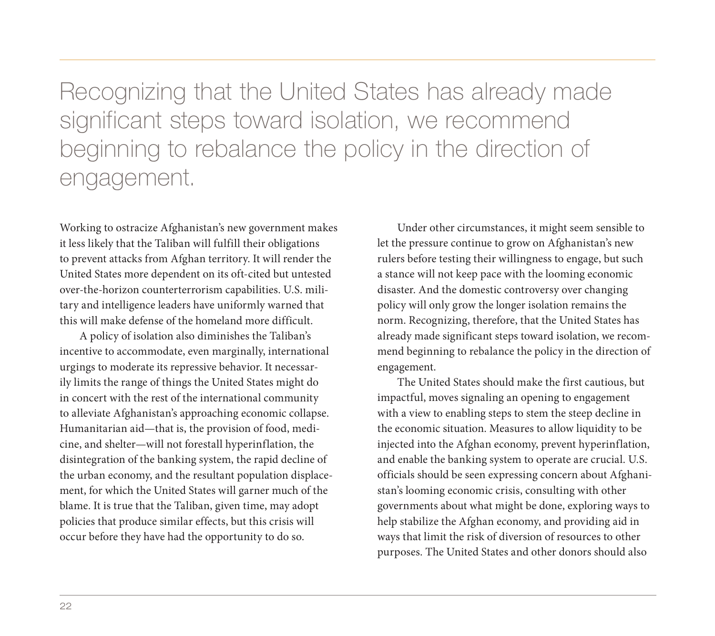Recognizing that the United States has already made significant steps toward isolation, we recommend beginning to rebalance the policy in the direction of engagement.

Working to ostracize Afghanistan's new government makes it less likely that the Taliban will fulfill their obligations to prevent attacks from Afghan territory. It will render the United States more dependent on its oft-cited but untested over-the-horizon counterterrorism capabilities. U.S. military and intelligence leaders have uniformly warned that this will make defense of the homeland more difficult.

A policy of isolation also diminishes the Taliban's incentive to accommodate, even marginally, international urgings to moderate its repressive behavior. It necessarily limits the range of things the United States might do in concert with the rest of the international community to alleviate Afghanistan's approaching economic collapse. Humanitarian aid—that is, the provision of food, medicine, and shelter—will not forestall hyperinflation, the disintegration of the banking system, the rapid decline of the urban economy, and the resultant population displacement, for which the United States will garner much of the blame. It is true that the Taliban, given time, may adopt policies that produce similar effects, but this crisis will occur before they have had the opportunity to do so.

Under other circumstances, it might seem sensible to let the pressure continue to grow on Afghanistan's new rulers before testing their willingness to engage, but such a stance will not keep pace with the looming economic disaster. And the domestic controversy over changing policy will only grow the longer isolation remains the norm. Recognizing, therefore, that the United States has already made significant steps toward isolation, we recommend beginning to rebalance the policy in the direction of engagement.

The United States should make the first cautious, but impactful, moves signaling an opening to engagement with a view to enabling steps to stem the steep decline in the economic situation. Measures to allow liquidity to be injected into the Afghan economy, prevent hyperinflation, and enable the banking system to operate are crucial. U.S. officials should be seen expressing concern about Afghanistan's looming economic crisis, consulting with other governments about what might be done, exploring ways to help stabilize the Afghan economy, and providing aid in ways that limit the risk of diversion of resources to other purposes. The United States and other donors should also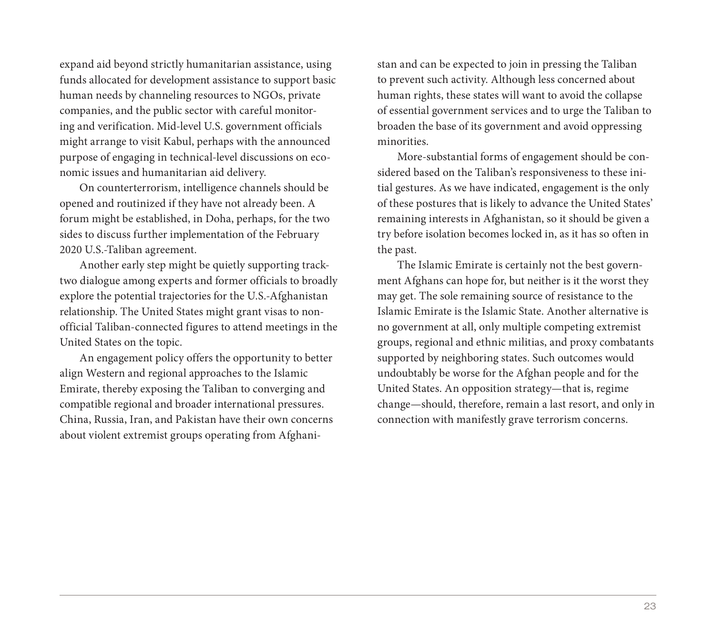expand aid beyond strictly humanitarian assistance, using funds allocated for development assistance to support basic human needs by channeling resources to NGOs, private companies, and the public sector with careful monitoring and verification. Mid-level U.S. government officials might arrange to visit Kabul, perhaps with the announced purpose of engaging in technical-level discussions on economic issues and humanitarian aid delivery.

On counterterrorism, intelligence channels should be opened and routinized if they have not already been. A forum might be established, in Doha, perhaps, for the two sides to discuss further implementation of the February 2020 U.S.-Taliban agreement.

Another early step might be quietly supporting tracktwo dialogue among experts and former officials to broadly explore the potential trajectories for the U.S.-Afghanistan relationship. The United States might grant visas to nonofficial Taliban-connected figures to attend meetings in the United States on the topic.

An engagement policy offers the opportunity to better align Western and regional approaches to the Islamic Emirate, thereby exposing the Taliban to converging and compatible regional and broader international pressures. China, Russia, Iran, and Pakistan have their own concerns about violent extremist groups operating from Afghanistan and can be expected to join in pressing the Taliban to prevent such activity. Although less concerned about human rights, these states will want to avoid the collapse of essential government services and to urge the Taliban to broaden the base of its government and avoid oppressing minorities.

More-substantial forms of engagement should be considered based on the Taliban's responsiveness to these initial gestures. As we have indicated, engagement is the only of these postures that is likely to advance the United States' remaining interests in Afghanistan, so it should be given a try before isolation becomes locked in, as it has so often in the past.

The Islamic Emirate is certainly not the best government Afghans can hope for, but neither is it the worst they may get. The sole remaining source of resistance to the Islamic Emirate is the Islamic State. Another alternative is no government at all, only multiple competing extremist groups, regional and ethnic militias, and proxy combatants supported by neighboring states. Such outcomes would undoubtably be worse for the Afghan people and for the United States. An opposition strategy—that is, regime change—should, therefore, remain a last resort, and only in connection with manifestly grave terrorism concerns.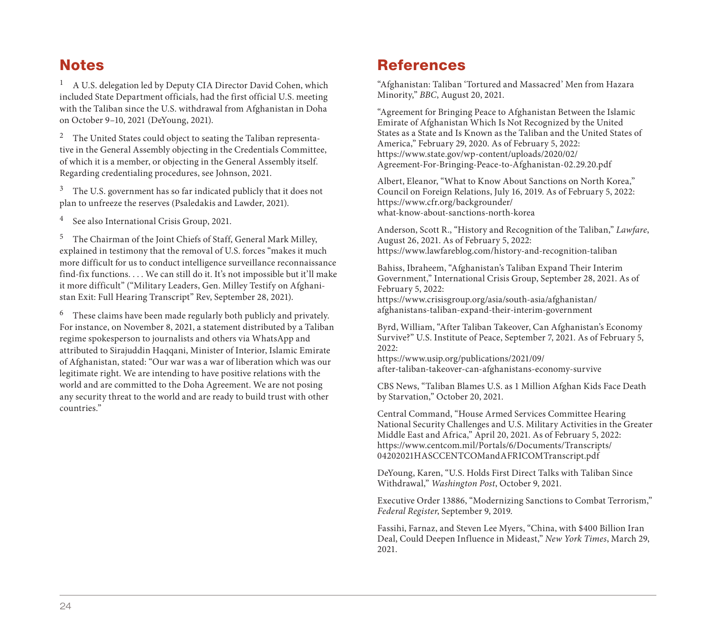## **Notes**

<sup>1</sup> A U.S. delegation led by Deputy CIA Director David Cohen, which included State Department officials, had the first official U.S. meeting with the Taliban since the U.S. withdrawal from Afghanistan in Doha on October 9–10, 2021 (DeYoung, 2021).

<sup>2</sup> The United States could object to seating the Taliban representative in the General Assembly objecting in the Credentials Committee, of which it is a member, or objecting in the General Assembly itself. Regarding credentialing procedures, see Johnson, 2021.

<sup>3</sup> The U.S. government has so far indicated publicly that it does not plan to unfreeze the reserves (Psaledakis and Lawder, 2021).

<sup>4</sup> See also International Crisis Group, 2021.

<sup>5</sup> The Chairman of the Joint Chiefs of Staff, General Mark Milley, explained in testimony that the removal of U.S. forces "makes it much more difficult for us to conduct intelligence surveillance reconnaissance find-fix functions. . . . We can still do it. It's not impossible but it'll make it more difficult" ("Military Leaders, Gen. Milley Testify on Afghanistan Exit: Full Hearing Transcript" Rev, September 28, 2021).

<sup>6</sup> These claims have been made regularly both publicly and privately. For instance, on November 8, 2021, a statement distributed by a Taliban regime spokesperson to journalists and others via WhatsApp and attributed to Sirajuddin Haqqani, Minister of Interior, Islamic Emirate of Afghanistan, stated: "Our war was a war of liberation which was our legitimate right. We are intending to have positive relations with the world and are committed to the Doha Agreement. We are not posing any security threat to the world and are ready to build trust with other countries."

## **References**

"Afghanistan: Taliban 'Tortured and Massacred' Men from Hazara Minority," *BBC*, August 20, 2021.

"Agreement for Bringing Peace to Afghanistan Between the Islamic Emirate of Afghanistan Which Is Not Recognized by the United States as a State and Is Known as the Taliban and the United States of America," February 29, 2020. As of February 5, 2022: https://www.state.gov/wp-content/uploads/2020/02/ [Agreement-For-Bringing-Peace-to-Afghanistan-02.29.20.pdf](https://www.state.gov/wp-content/uploads/2020/02/Agreement-For-Bringing-Peace-to-Afghanistan-02.29.20.pdf)

Albert, Eleanor, "What to Know About Sanctions on North Korea," Council on Foreign Relations, July 16, 2019. As of February 5, 2022: https://www.cfr.org/backgrounder/ [what-know-about-sanctions-north-korea](https://www.cfr.org/backgrounder/what-know-about-sanctions-north-korea) 

Anderson, Scott R., "History and Recognition of the Taliban," *Lawfare*, August 26, 2021. As of February 5, 2022: <https://www.lawfareblog.com/history-and-recognition-taliban>

Bahiss, Ibraheem, "Afghanistan's Taliban Expand Their Interim Government," International Crisis Group, September 28, 2021. As of February 5, 2022:

[https://www.crisisgroup.org/asia/south-asia/afghanistan/](https://www.crisisgroup.org/asia/south-asia/afghanistan/afghanistans-taliban-expand-their-interim-government)  afghanistans-taliban-expand-their-interim-government

Byrd, William, "After Taliban Takeover, Can Afghanistan's Economy Survive?" U.S. Institute of Peace, September 7, 2021. As of February 5, 2022:

https://www.usip.org/publications/2021/09/ [after-taliban-takeover-can-afghanistans-economy-survive](https://www.usip.org/publications/2021/09/after-taliban-takeover-can-afghanistans-economy-survive)

CBS News, "Taliban Blames U.S. as 1 Million Afghan Kids Face Death by Starvation," October 20, 2021.

Central Command, "House Armed Services Committee Hearing National Security Challenges and U.S. Military Activities in the Greater Middle East and Africa," April 20, 2021. As of February 5, 2022: [https://www.centcom.mil/Portals/6/Documents/Transcripts/](https://www.centcom.mil/Portals/6/Documents/Transcripts/04202021HASCCENTCOMandAFRICOMTranscript.pdf) 04202021HASCCENTCOMandAFRICOMTranscript.pdf

DeYoung, Karen, "U.S. Holds First Direct Talks with Taliban Since Withdrawal," *Washington Post*, October 9, 2021.

Executive Order 13886, "Modernizing Sanctions to Combat Terrorism," *Federal Register*, September 9, 2019.

Fassihi, Farnaz, and Steven Lee Myers, "China, with \$400 Billion Iran Deal, Could Deepen Influence in Mideast," *New York Times*, March 29, 2021.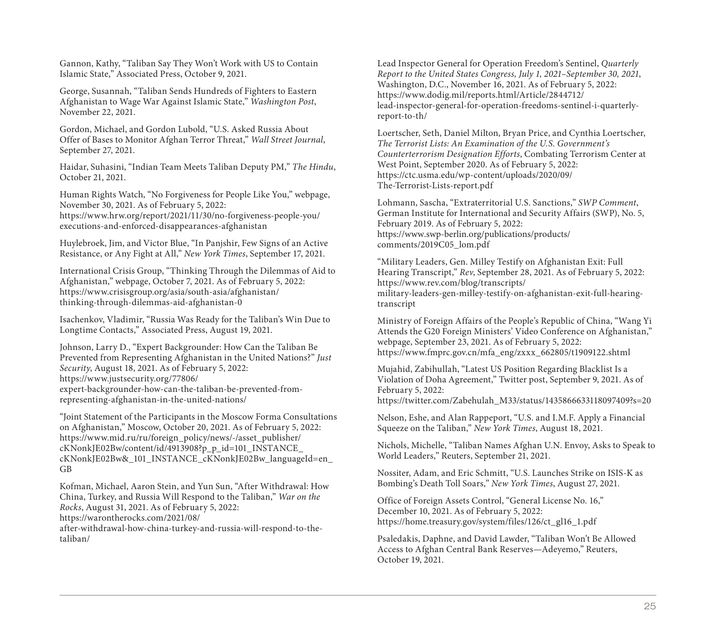Gannon, Kathy, "Taliban Say They Won't Work with US to Contain Islamic State," Associated Press, October 9, 2021.

George, Susannah, "Taliban Sends Hundreds of Fighters to Eastern Afghanistan to Wage War Against Islamic State," *Washington Post*, November 22, 2021.

Gordon, Michael, and Gordon Lubold, "U.S. Asked Russia About Offer of Bases to Monitor Afghan Terror Threat," *Wall Street Journal*, September 27, 2021.

Haidar, Suhasini, "Indian Team Meets Taliban Deputy PM," *The Hindu*, October 21, 2021.

Human Rights Watch, "No Forgiveness for People Like You," webpage, November 30, 2021. As of February 5, 2022: [https://www.hrw.org/report/2021/11/30/no-forgiveness-people-you/](https://www.hrw.org/report/2021/11/30/no-forgiveness-people-you/executions-and-enforced-disappearances-afghanistan) executions-and-enforced-disappearances-afghanistan

Huylebroek, Jim, and Victor Blue, "In Panjshir, Few Signs of an Active Resistance, or Any Fight at All," *New York Times*, September 17, 2021.

International Crisis Group, "Thinking Through the Dilemmas of Aid to Afghanistan," webpage, October 7, 2021. As of February 5, 2022: [https://www.crisisgroup.org/asia/south-asia/afghanistan/](https://www.crisisgroup.org/asia/south-asia/afghanistan/thinking-through-dilemmas-aid-afghanistan-0)  thinking-through-dilemmas-aid-afghanistan-0

Isachenkov, Vladimir, "Russia Was Ready for the Taliban's Win Due to Longtime Contacts," Associated Press, August 19, 2021.

Johnson, Larry D., "Expert Backgrounder: How Can the Taliban Be Prevented from Representing Afghanistan in the United Nations?" *Just Security*, August 18, 2021. As of February 5, 2022: https://www.justsecurity.org/77806/ [expert-backgrounder-how-can-the-taliban-be-prevented-from](https://www.justsecurity.org/77806/expert-backgrounder-how-can-the-taliban-be-prevented-from-representing-afghanistan-in-the-united-nations/)representing-afghanistan-in-the-united-nations/

"Joint Statement of the Participants in the Moscow Forma Consultations on Afghanistan," Moscow, October 20, 2021. As of February 5, 2022: https://www.mid.ru/ru/foreign\_policy/news/-/asset\_publisher/ cKNonkJE02Bw/content/id/4913908?p\_p\_id=101\_INSTANCE\_ [cKNonkJE02Bw&\\_101\\_INSTANCE\\_cKNonkJE02Bw\\_languageId=en\\_](https://www.mid.ru/ru/foreign_policy/news/-/asset_publisher/cKNonkJE02Bw/content/id/4913908?p_p_id=101_INSTANCE_cKNonkJE02Bw&_101_INSTANCE_cKNonkJE02Bw_languageId=en_GB) GB

Kofman, Michael, Aaron Stein, and Yun Sun, "After Withdrawal: How China, Turkey, and Russia Will Respond to the Taliban," *War on the Rocks*, August 31, 2021. As of February 5, 2022: https://warontherocks.com/2021/08/ [after-withdrawal-how-china-turkey-and-russia-will-respond-to-the-](https://warontherocks.com/2021/08/after-withdrawal-how-china-turkey-and-russia-will-respond-to-the-taliban/)

taliban/

Lead Inspector General for Operation Freedom's Sentinel, *Quarterly Report to the United States Congress, July 1, 2021–September 30, 2021*, Washington, D.C., November 16, 2021. As of February 5, 2022: https://www.dodig.mil/reports.html/Article/2844712/ [lead-inspector-general-for-operation-freedoms-sentinel-i-quarterly](https://www.dodig.mil/reports.html/Article/2844712/lead-inspector-general-for-operation-freedoms-sentinel-i-quarterly-report-to-th/)report-to-th/

Loertscher, Seth, Daniel Milton, Bryan Price, and Cynthia Loertscher, *The Terrorist Lists: An Examination of the U.S. Government's Counterterrorism Designation Efforts*, Combating Terrorism Center at West Point, September 2020. As of February 5, 2022: [https://ctc.usma.edu/wp-content/uploads/2020/09/](https://ctc.usma.edu/wp-content/uploads/2020/09/The-Terrorist-Lists-report.pdf) The-Terrorist-Lists-report.pdf

Lohmann, Sascha, "Extraterritorial U.S. Sanctions," *SWP Comment*, German Institute for International and Security Affairs (SWP), No. 5, February 2019. As of February 5, 2022: [https://www.swp-berlin.org/publications/products/](https://www.swp-berlin.org/publications/products/comments/2019C05_lom.pdf) comments/2019C05\_lom.pdf

"Military Leaders, Gen. Milley Testify on Afghanistan Exit: Full Hearing Transcript," *Rev*, September 28, 2021. As of February 5, 2022: https://www.rev.com/blog/transcripts/ [military-leaders-gen-milley-testify-on-afghanistan-exit-full-hearing](https://www.rev.com/blog/transcripts/military-leaders-gen-milley-testify-on-afghanistan-exit-full-hearing-transcript)transcript

Ministry of Foreign Affairs of the People's Republic of China, "Wang Yi Attends the G20 Foreign Ministers' Video Conference on Afghanistan," webpage, September 23, 2021. As of February 5, 2022: [https://www.fmprc.gov.cn/mfa\\_eng/zxxx\\_662805/t1909122.shtml](https://www.fmprc.gov.cn/mfa_eng/zxxx_662805/t1909122.shtml)

Mujahid, Zabihullah, "Latest US Position Regarding Blacklist Is a Violation of Doha Agreement," Twitter post, September 9, 2021. As of February 5, 2022:

[https://twitter.com/Zabehulah\\_M33/status/1435866633118097409?s=20](https://twitter.com/Zabehulah_M33/status/1435866633118097409?s=20)

Nelson, Eshe, and Alan Rappeport, "U.S. and I.M.F. Apply a Financial Squeeze on the Taliban," *New York Times*, August 18, 2021.

Nichols, Michelle, "Taliban Names Afghan U.N. Envoy, Asks to Speak to World Leaders," Reuters, September 21, 2021.

Nossiter, Adam, and Eric Schmitt, "U.S. Launches Strike on ISIS-K as Bombing's Death Toll Soars," *New York Times*, August 27, 2021.

Office of Foreign Assets Control, "General License No. 16," December 10, 2021. As of February 5, 2022: [https://home.treasury.gov/system/files/126/ct\\_gl16\\_1.pdf](https://home.treasury.gov/system/files/126/ct_gl16_1.pdf)

Psaledakis, Daphne, and David Lawder, "Taliban Won't Be Allowed Access to Afghan Central Bank Reserves—Adeyemo," Reuters, October 19, 2021.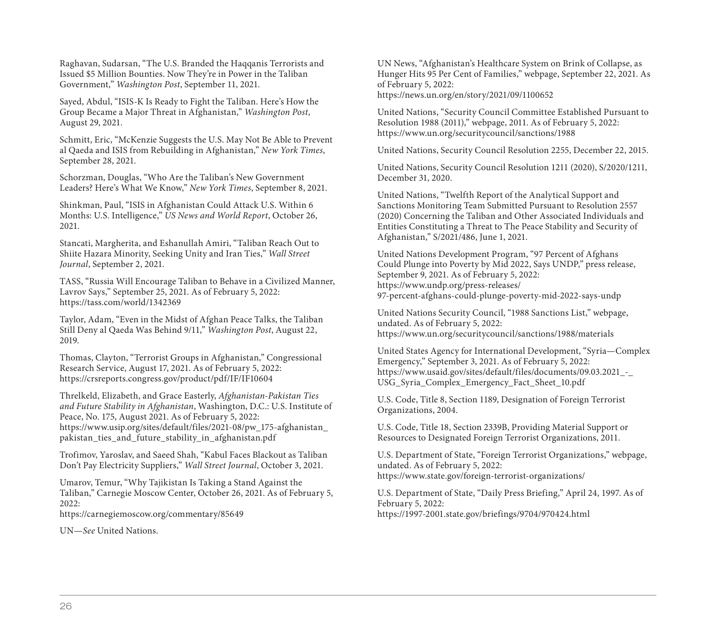Raghavan, Sudarsan, "The U.S. Branded the Haqqanis Terrorists and Issued \$5 Million Bounties. Now They're in Power in the Taliban Government," *Washington Post*, September 11, 2021.

Sayed, Abdul, "ISIS-K Is Ready to Fight the Taliban. Here's How the Group Became a Major Threat in Afghanistan," *Washington Post*, August 29, 2021.

Schmitt, Eric, "McKenzie Suggests the U.S. May Not Be Able to Prevent al Qaeda and ISIS from Rebuilding in Afghanistan," *New York Times*, September 28, 2021.

Schorzman, Douglas, "Who Are the Taliban's New Government Leaders? Here's What We Know," *New York Times*, September 8, 2021.

Shinkman, Paul, "ISIS in Afghanistan Could Attack U.S. Within 6 Months: U.S. Intelligence," *US News and World Report*, October 26, 2021.

Stancati, Margherita, and Eshanullah Amiri, "Taliban Reach Out to Shiite Hazara Minority, Seeking Unity and Iran Ties," *Wall Street Journal*, September 2, 2021.

TASS, "Russia Will Encourage Taliban to Behave in a Civilized Manner, Lavrov Says," September 25, 2021. As of February 5, 2022: <https://tass.com/world/1342369>

Taylor, Adam, "Even in the Midst of Afghan Peace Talks, the Taliban Still Deny al Qaeda Was Behind 9/11," *Washington Post*, August 22, 2019.

Thomas, Clayton, "Terrorist Groups in Afghanistan," Congressional Research Service, August 17, 2021. As of February 5, 2022: <https://crsreports.congress.gov/product/pdf/IF/IF10604>

Threlkeld, Elizabeth, and Grace Easterly, *Afghanistan-Pakistan Ties and Future Stability in Afghanistan*, Washington, D.C.: U.S. Institute of Peace, No. 175, August 2021. As of February 5, 2022: [https://www.usip.org/sites/default/files/2021-08/pw\\_175-afghanistan\\_](https://www.usip.org/sites/default/files/2021-08/pw_175-afghanistan_pakistan_ties_and_future_stability_in_afghanistan.pdf) pakistan\_ties\_and\_future\_stability\_in\_afghanistan.pdf

Trofimov, Yaroslav, and Saeed Shah, "Kabul Faces Blackout as Taliban Don't Pay Electricity Suppliers," *Wall Street Journal*, October 3, 2021.

Umarov, Temur, "Why Tajikistan Is Taking a Stand Against the Taliban," Carnegie Moscow Center, October 26, 2021. As of February 5, 2022:

<https://carnegiemoscow.org/commentary/85649>

UN—*See* United Nations.

UN News, "Afghanistan's Healthcare System on Brink of Collapse, as Hunger Hits 95 Per Cent of Families," webpage, September 22, 2021. As of February 5, 2022: <https://news.un.org/en/story/2021/09/1100652>

United Nations, "Security Council Committee Established Pursuant to Resolution 1988 (2011)," webpage, 2011. As of February 5, 2022: <https://www.un.org/securitycouncil/sanctions/1988>

United Nations, Security Council Resolution 2255, December 22, 2015.

United Nations, Security Council Resolution 1211 (2020), S/2020/1211, December 31, 2020.

United Nations, "Twelfth Report of the Analytical Support and Sanctions Monitoring Team Submitted Pursuant to Resolution 2557 (2020) Concerning the Taliban and Other Associated Individuals and Entities Constituting a Threat to The Peace Stability and Security of Afghanistan," S/2021/486, June 1, 2021.

United Nations Development Program, "97 Percent of Afghans Could Plunge into Poverty by Mid 2022, Says UNDP," press release, September 9, 2021. As of February 5, 2022: https://www.undp.org/press-releases/ [97-percent-afghans-could-plunge-poverty-mid-2022-says-undp](https://www.undp.org/press-releases/97-percent-afghans-could-plunge-poverty-mid-2022-says-undp)

United Nations Security Council, "1988 Sanctions List," webpage, undated. As of February 5, 2022: <https://www.un.org/securitycouncil/sanctions/1988/materials>

United States Agency for International Development, "Syria—Complex Emergency," September 3, 2021. As of February 5, 2022: [https://www.usaid.gov/sites/default/files/documents/09.03.2021\\_-\\_](https://www.usaid.gov/sites/default/files/documents/09.03.2021_-_USG_Syria_Complex_Emergency_Fact_Sheet_10.pdf) USG\_Syria\_Complex\_Emergency\_Fact\_Sheet\_10.pdf

U.S. Code, Title 8, Section 1189, Designation of Foreign Terrorist Organizations, 2004.

U.S. Code, Title 18, Section 2339B, Providing Material Support or Resources to Designated Foreign Terrorist Organizations, 2011.

U.S. Department of State, "Foreign Terrorist Organizations," webpage, undated. As of February 5, 2022: <https://www.state.gov/foreign-terrorist-organizations/>

U.S. Department of State, "Daily Press Briefing," April 24, 1997. As of February 5, 2022: <https://1997-2001.state.gov/briefings/9704/970424.html>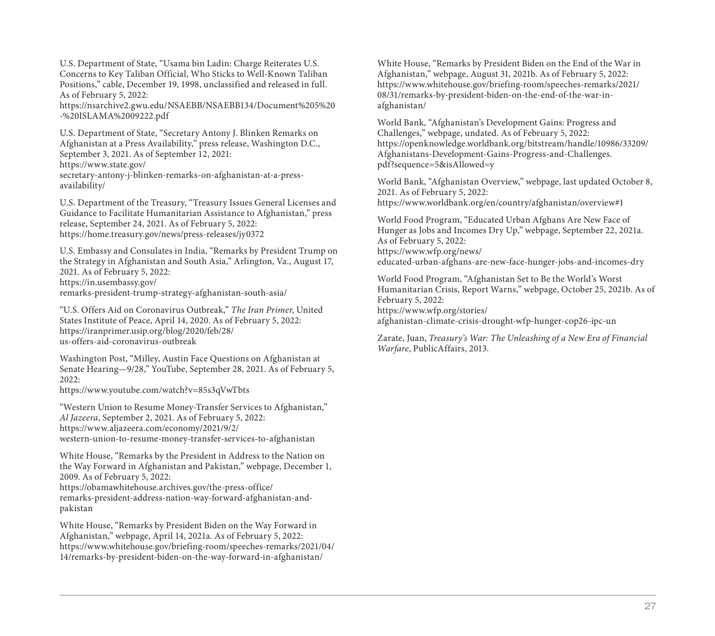U.S. Department of State, "Usama bin Ladin: Charge Reiterates U.S. Concerns to Key Taliban Official, Who Sticks to Well-Known Taliban Positions," cable, December 19, 1998, unclassified and released in full. As of February 5, 2022:

[https://nsarchive2.gwu.edu/NSAEBB/NSAEBB134/Document%205%20](https://nsarchive2.gwu.edu/NSAEBB/NSAEBB134/Document%205%20-%20ISLAMA%2009222.pdf) -%20ISLAMA%2009222.pdf

U.S. Department of State, "Secretary Antony J. Blinken Remarks on Afghanistan at a Press Availability," press release, Washington D.C., September 3, 2021. As of September 12, 2021: https://www.state.gov/ [secretary-antony-j-blinken-remarks-on-afghanistan-at-a-press](https://www.state.gov/secretary-antony-j-blinken-remarks-on-afghanistan-at-a-press-availability/)availability/

U.S. Department of the Treasury, "Treasury Issues General Licenses and Guidance to Facilitate Humanitarian Assistance to Afghanistan," press release, September 24, 2021. As of February 5, 2022: <https://home.treasury.gov/news/press-releases/jy0372>

U.S. Embassy and Consulates in India, "Remarks by President Trump on the Strategy in Afghanistan and South Asia," Arlington, Va., August 17, 2021. As of February 5, 2022: https://in.usembassy.gov/ [remarks-president-trump-strategy-afghanistan-south-asia/](https://in.usembassy.gov/remarks-president-trump-strategy-afghanistan-south-asia/) 

"U.S. Offers Aid on Coronavirus Outbreak," *The Iran Primer*, United States Institute of Peace, April 14, 2020. As of February 5, 2022: [https://iranprimer.usip.org/blog/2020/feb/28/](https://iranprimer.usip.org/blog/2020/feb/28/us-offers-aid-coronavirus-outbreak) us-offers-aid-coronavirus-outbreak

Washington Post, "Milley, Austin Face Questions on Afghanistan at Senate Hearing—9/28," YouTube, September 28, 2021. As of February 5, 2022:

<https://www.youtube.com/watch?v=85s3qVwTbts>

"Western Union to Resume Money-Transfer Services to Afghanistan," *Al Jazeera*, September 2, 2021. As of February 5, 2022: https://www.aljazeera.com/economy/2021/9/2/ [western-union-to-resume-money-transfer-services-to-afghanistan](https://www.aljazeera.com/economy/2021/9/2/western-union-to-resume-money-transfer-services-to-afghanistan)

White House, "Remarks by the President in Address to the Nation on the Way Forward in Afghanistan and Pakistan," webpage, December 1, 2009. As of February 5, 2022:

https://obamawhitehouse.archives.gov/the-press-office/ [remarks-president-address-nation-way-forward-afghanistan-and](https://obamawhitehouse.archives.gov/the-press-office/remarks-president-address-nation-way-forward-afghanistan-and-pakistan)pakistan

White House, "Remarks by President Biden on the Way Forward in Afghanistan," webpage, April 14, 2021a. As of February 5, 2022: [https://www.whitehouse.gov/briefing-room/speeches-remarks/2021/04/](https://www.whitehouse.gov/briefing-room/speeches-remarks/2021/04/14/remarks-by-president-biden-on-the-way-forward-in-afghanistan/) 14/remarks-by-president-biden-on-the-way-forward-in-afghanistan/

White House, "Remarks by President Biden on the End of the War in Afghanistan," webpage, August 31, 2021b. As of February 5, 2022: [https://www.whitehouse.gov/briefing-room/speeches-remarks/2021/](https://www.whitehouse.gov/briefing-room/speeches-remarks/2021/08/31/remarks-by-president-biden-on-the-end-of-the-war-in-afghanistan/) 08/31/remarks-by-president-biden-on-the-end-of-the-war-inafghanistan/

World Bank, "Afghanistan's Development Gains: Progress and Challenges," webpage, undated. As of February 5, 2022: [https://openknowledge.worldbank.org/bitstream/handle/10986/33209/](https://openknowledge.worldbank.org/bitstream/handle/10986/33209/Afghanistans-Development-Gains-Progress-and-Challenges.pdf?sequence=5&isAllowed=y) Afghanistans-Development-Gains-Progress-and-Challenges. pdf?sequence=5&isAllowed=y

World Bank, "Afghanistan Overview," webpage, last updated October 8, 2021. As of February 5, 2022: <https://www.worldbank.org/en/country/afghanistan/overview#1>

World Food Program, "Educated Urban Afghans Are New Face of Hunger as Jobs and Incomes Dry Up," webpage, September 22, 2021a. As of February 5, 2022: https://www.wfp.org/news/ [educated-urban-afghans-are-new-face-hunger-jobs-and-incomes-dry](https://www.wfp.org/news/educated-urban-afghans-are-new-face-hunger-jobs-and-incomes-dry)

World Food Program, "Afghanistan Set to Be the World's Worst Humanitarian Crisis, Report Warns," webpage, October 25, 2021b. As of February 5, 2022: https://www.wfp.org/stories/

[afghanistan-climate-crisis-drought-wfp-hunger-cop26-ipc-un](https://www.wfp.org/stories/afghanistan-climate-crisis-drought-wfp-hunger-cop26-ipc-un)

Zarate, Juan, *Treasury's War: The Unleashing of a New Era of Financial Warfare*, PublicAffairs, 2013.